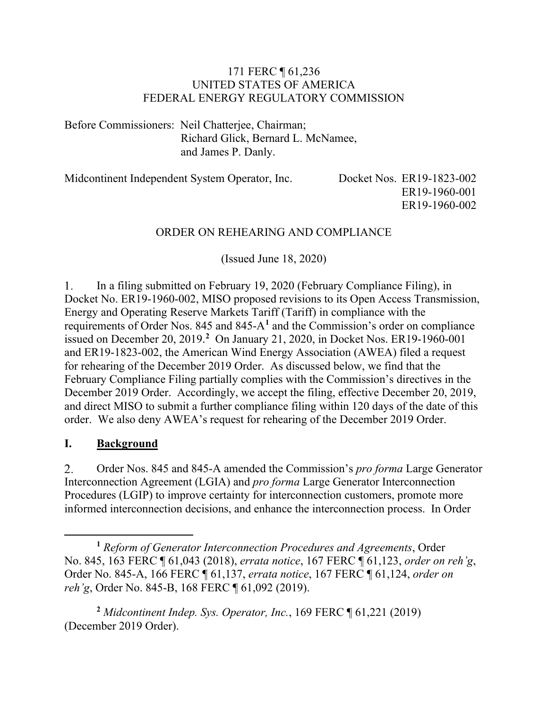#### 171 FERC ¶ 61,236 UNITED STATES OF AMERICA FEDERAL ENERGY REGULATORY COMMISSION

Before Commissioners: Neil Chatterjee, Chairman; Richard Glick, Bernard L. McNamee, and James P. Danly.

| Midcontinent Independent System Operator, Inc. |  |  |
|------------------------------------------------|--|--|
|                                                |  |  |

Docket Nos. ER19-1823-002 ER19-1960-001 ER19-1960-002

### ORDER ON REHEARING AND COMPLIANCE

(Issued June 18, 2020)

In a filing submitted on February 19, 2020 (February Compliance Filing), in 1. Docket No. ER19-1960-002, MISO proposed revisions to its Open Access Transmission, Energy and Operating Reserve Markets Tariff (Tariff) in compliance with the requirements of Order Nos. 845 and 845-A**[1](#page-0-0)** and the Commission's order on compliance issued on December 20, 2019.**[2](#page-0-1)** On January 21, 2020, in Docket Nos. ER19-1960-001 and ER19-1823-002, the American Wind Energy Association (AWEA) filed a request for rehearing of the December 2019 Order. As discussed below, we find that the February Compliance Filing partially complies with the Commission's directives in the December 2019 Order. Accordingly, we accept the filing, effective December 20, 2019, and direct MISO to submit a further compliance filing within 120 days of the date of this order. We also deny AWEA's request for rehearing of the December 2019 Order.

### **I. Background**

 $2.$ Order Nos. 845 and 845-A amended the Commission's *pro forma* Large Generator Interconnection Agreement (LGIA) and *pro forma* Large Generator Interconnection Procedures (LGIP) to improve certainty for interconnection customers, promote more informed interconnection decisions, and enhance the interconnection process. In Order

<span id="page-0-1"></span>**<sup>2</sup>** *Midcontinent Indep. Sys. Operator, Inc.*, 169 FERC ¶ 61,221 (2019) (December 2019 Order).

<span id="page-0-0"></span>**<sup>1</sup>** *Reform of Generator Interconnection Procedures and Agreements*, Order No. 845, 163 FERC ¶ 61,043 (2018), *errata notice*, 167 FERC ¶ 61,123, *order on reh'g*, Order No. 845-A, 166 FERC ¶ 61,137, *errata notice*, 167 FERC ¶ 61,124, *order on reh'g*, Order No. 845-B, 168 FERC ¶ 61,092 (2019).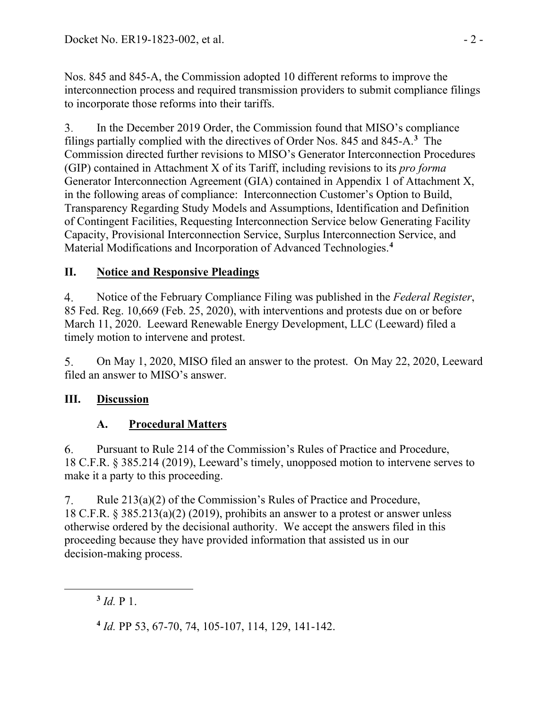Nos. 845 and 845-A, the Commission adopted 10 different reforms to improve the interconnection process and required transmission providers to submit compliance filings to incorporate those reforms into their tariffs.

3. In the December 2019 Order, the Commission found that MISO's compliance filings partially complied with the directives of Order Nos. 845 and 845-A.**[3](#page-1-0)** The Commission directed further revisions to MISO's Generator Interconnection Procedures (GIP) contained in Attachment X of its Tariff, including revisions to its *pro forma* Generator Interconnection Agreement (GIA) contained in Appendix 1 of Attachment X, in the following areas of compliance: Interconnection Customer's Option to Build, Transparency Regarding Study Models and Assumptions, Identification and Definition of Contingent Facilities, Requesting Interconnection Service below Generating Facility Capacity, Provisional Interconnection Service, Surplus Interconnection Service, and Material Modifications and Incorporation of Advanced Technologies.**[4](#page-1-1)**

# **II. Notice and Responsive Pleadings**

 $\overline{4}$ . Notice of the February Compliance Filing was published in the *Federal Register*, 85 Fed. Reg. 10,669 (Feb. 25, 2020), with interventions and protests due on or before March 11, 2020. Leeward Renewable Energy Development, LLC (Leeward) filed a timely motion to intervene and protest.

5. On May 1, 2020, MISO filed an answer to the protest. On May 22, 2020, Leeward filed an answer to MISO's answer.

# **III. Discussion**

# **A. Procedural Matters**

Pursuant to Rule 214 of the Commission's Rules of Practice and Procedure, 6. 18 C.F.R. § 385.214 (2019), Leeward's timely, unopposed motion to intervene serves to make it a party to this proceeding.

 $7_{\cdot}$ Rule 213(a)(2) of the Commission's Rules of Practice and Procedure, 18 C.F.R. § 385.213(a)(2) (2019), prohibits an answer to a protest or answer unless otherwise ordered by the decisional authority. We accept the answers filed in this proceeding because they have provided information that assisted us in our decision-making process.

<span id="page-1-0"></span> $3$  *Id.* P 1.

<span id="page-1-1"></span>**<sup>4</sup>** *Id.* PP 53, 67-70, 74, 105-107, 114, 129, 141-142.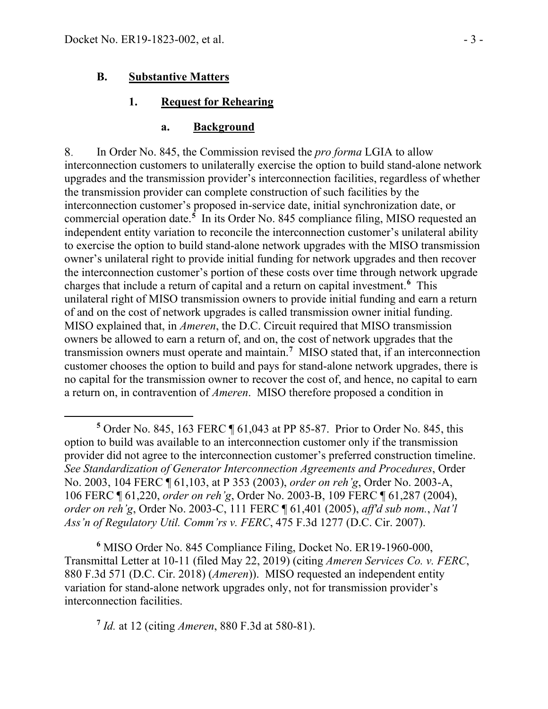#### **B. Substantive Matters**

#### **1. Request for Rehearing**

#### **a. Background**

8. In Order No. 845, the Commission revised the *pro forma* LGIA to allow interconnection customers to unilaterally exercise the option to build stand-alone network upgrades and the transmission provider's interconnection facilities, regardless of whether the transmission provider can complete construction of such facilities by the interconnection customer's proposed in-service date, initial synchronization date, or commercial operation date.**[5](#page-2-0)** In its Order No. 845 compliance filing, MISO requested an independent entity variation to reconcile the interconnection customer's unilateral ability to exercise the option to build stand-alone network upgrades with the MISO transmission owner's unilateral right to provide initial funding for network upgrades and then recover the interconnection customer's portion of these costs over time through network upgrade charges that include a return of capital and a return on capital investment.**[6](#page-2-1)** This unilateral right of MISO transmission owners to provide initial funding and earn a return of and on the cost of network upgrades is called transmission owner initial funding. MISO explained that, in *Ameren*, the D.C. Circuit required that MISO transmission owners be allowed to earn a return of, and on, the cost of network upgrades that the transmission owners must operate and maintain.**[7](#page-2-2)** MISO stated that, if an interconnection customer chooses the option to build and pays for stand-alone network upgrades, there is no capital for the transmission owner to recover the cost of, and hence, no capital to earn a return on, in contravention of *Ameren*. MISO therefore proposed a condition in

<span id="page-2-1"></span>**<sup>6</sup>** MISO Order No. 845 Compliance Filing, Docket No. ER19-1960-000, Transmittal Letter at 10-11 (filed May 22, 2019) (citing *Ameren Services Co. v. FERC*, 880 F.3d 571 (D.C. Cir. 2018) (*Ameren*)). MISO requested an independent entity variation for stand-alone network upgrades only, not for transmission provider's interconnection facilities.

<span id="page-2-2"></span>**<sup>7</sup>** *Id.* at 12 (citing *Ameren*, 880 F.3d at 580-81).

<span id="page-2-0"></span>**<sup>5</sup>** Order No. 845, 163 FERC ¶ 61,043 at PP 85-87. Prior to Order No. 845, this option to build was available to an interconnection customer only if the transmission provider did not agree to the interconnection customer's preferred construction timeline. *See Standardization of Generator Interconnection Agreements and Procedures*, Order No. 2003, 104 FERC ¶ 61,103, at P 353 (2003), *order on reh'g*, Order No. 2003-A, 106 FERC ¶ 61,220, *order on reh'g*, Order No. 2003-B, 109 FERC ¶ 61,287 (2004), *order on reh'g*, Order No. 2003-C, 111 FERC ¶ 61,401 (2005), *aff'd sub nom.*, *Nat'l Ass'n of Regulatory Util. Comm'rs v. FERC*, 475 F.3d 1277 (D.C. Cir. 2007).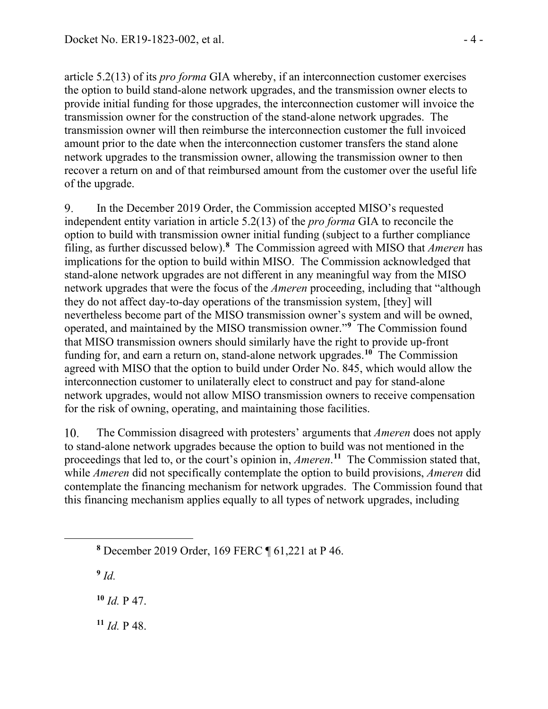article 5.2(13) of its *pro forma* GIA whereby, if an interconnection customer exercises the option to build stand-alone network upgrades, and the transmission owner elects to provide initial funding for those upgrades, the interconnection customer will invoice the transmission owner for the construction of the stand-alone network upgrades. The transmission owner will then reimburse the interconnection customer the full invoiced amount prior to the date when the interconnection customer transfers the stand alone network upgrades to the transmission owner, allowing the transmission owner to then recover a return on and of that reimbursed amount from the customer over the useful life of the upgrade.

In the December 2019 Order, the Commission accepted MISO's requested 9. independent entity variation in article 5.2(13) of the *pro forma* GIA to reconcile the option to build with transmission owner initial funding (subject to a further compliance filing, as further discussed below).**[8](#page-3-0)** The Commission agreed with MISO that *Ameren* has implications for the option to build within MISO. The Commission acknowledged that stand-alone network upgrades are not different in any meaningful way from the MISO network upgrades that were the focus of the *Ameren* proceeding, including that "although they do not affect day-to-day operations of the transmission system, [they] will nevertheless become part of the MISO transmission owner's system and will be owned, operated, and maintained by the MISO transmission owner."**[9](#page-3-1)** The Commission found that MISO transmission owners should similarly have the right to provide up-front funding for, and earn a return on, stand-alone network upgrades.**[10](#page-3-2)** The Commission agreed with MISO that the option to build under Order No. 845, which would allow the interconnection customer to unilaterally elect to construct and pay for stand-alone network upgrades, would not allow MISO transmission owners to receive compensation for the risk of owning, operating, and maintaining those facilities.

10. The Commission disagreed with protesters' arguments that *Ameren* does not apply to stand-alone network upgrades because the option to build was not mentioned in the proceedings that led to, or the court's opinion in, *Ameren*. **[11](#page-3-3)** The Commission stated that, while *Ameren* did not specifically contemplate the option to build provisions, *Ameren* did contemplate the financing mechanism for network upgrades. The Commission found that this financing mechanism applies equally to all types of network upgrades, including

<span id="page-3-1"></span>**<sup>9</sup>** *Id.*

<span id="page-3-2"></span>**<sup>10</sup>** *Id.* P 47.

<span id="page-3-3"></span>**<sup>11</sup>** *Id.* P 48.

<span id="page-3-0"></span>**<sup>8</sup>** December 2019 Order, 169 FERC ¶ 61,221 at P 46.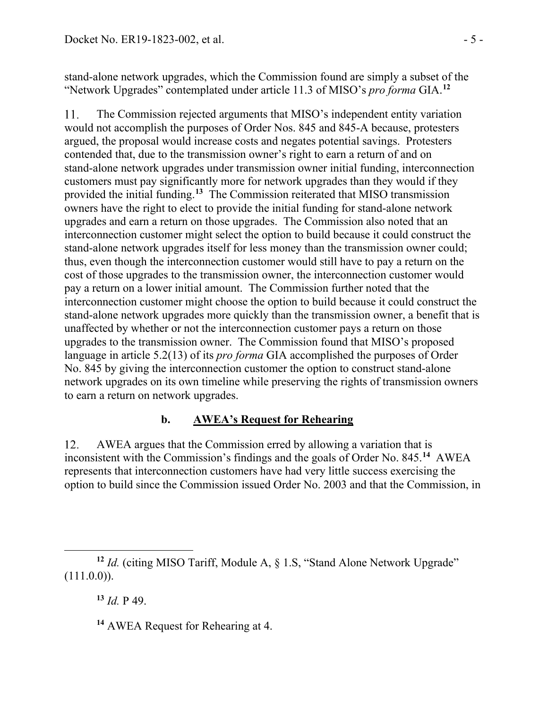stand-alone network upgrades, which the Commission found are simply a subset of the "Network Upgrades" contemplated under article 11.3 of MISO's *pro forma* GIA.**[12](#page-4-0)**

The Commission rejected arguments that MISO's independent entity variation 11. would not accomplish the purposes of Order Nos. 845 and 845-A because, protesters argued, the proposal would increase costs and negates potential savings. Protesters contended that, due to the transmission owner's right to earn a return of and on stand-alone network upgrades under transmission owner initial funding, interconnection customers must pay significantly more for network upgrades than they would if they provided the initial funding.**[13](#page-4-1)** The Commission reiterated that MISO transmission owners have the right to elect to provide the initial funding for stand-alone network upgrades and earn a return on those upgrades. The Commission also noted that an interconnection customer might select the option to build because it could construct the stand-alone network upgrades itself for less money than the transmission owner could; thus, even though the interconnection customer would still have to pay a return on the cost of those upgrades to the transmission owner, the interconnection customer would pay a return on a lower initial amount. The Commission further noted that the interconnection customer might choose the option to build because it could construct the stand-alone network upgrades more quickly than the transmission owner, a benefit that is unaffected by whether or not the interconnection customer pays a return on those upgrades to the transmission owner. The Commission found that MISO's proposed language in article 5.2(13) of its *pro forma* GIA accomplished the purposes of Order No. 845 by giving the interconnection customer the option to construct stand-alone network upgrades on its own timeline while preserving the rights of transmission owners to earn a return on network upgrades.

### **b. AWEA's Request for Rehearing**

 $12.$ AWEA argues that the Commission erred by allowing a variation that is inconsistent with the Commission's findings and the goals of Order No. 845.**[14](#page-4-2)** AWEA represents that interconnection customers have had very little success exercising the option to build since the Commission issued Order No. 2003 and that the Commission, in

**<sup>13</sup>** *Id.* P 49.

<span id="page-4-2"></span><span id="page-4-1"></span><span id="page-4-0"></span><sup>&</sup>lt;sup>12</sup> *Id.* (citing MISO Tariff, Module A, § 1.S, "Stand Alone Network Upgrade"  $(111.0.0)$ ).

**<sup>14</sup>** AWEA Request for Rehearing at 4.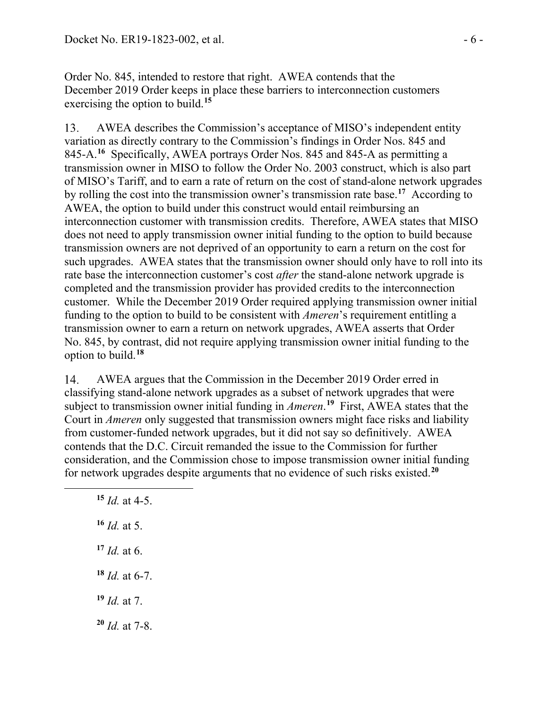Order No. 845, intended to restore that right. AWEA contends that the December 2019 Order keeps in place these barriers to interconnection customers exercising the option to build.**[15](#page-5-0)**

13. AWEA describes the Commission's acceptance of MISO's independent entity variation as directly contrary to the Commission's findings in Order Nos. 845 and 845-A.**[16](#page-5-1)** Specifically, AWEA portrays Order Nos. 845 and 845-A as permitting a transmission owner in MISO to follow the Order No. 2003 construct, which is also part of MISO's Tariff, and to earn a rate of return on the cost of stand-alone network upgrades by rolling the cost into the transmission owner's transmission rate base.**[17](#page-5-2)** According to AWEA, the option to build under this construct would entail reimbursing an interconnection customer with transmission credits. Therefore, AWEA states that MISO does not need to apply transmission owner initial funding to the option to build because transmission owners are not deprived of an opportunity to earn a return on the cost for such upgrades. AWEA states that the transmission owner should only have to roll into its rate base the interconnection customer's cost *after* the stand-alone network upgrade is completed and the transmission provider has provided credits to the interconnection customer. While the December 2019 Order required applying transmission owner initial funding to the option to build to be consistent with *Ameren*'s requirement entitling a transmission owner to earn a return on network upgrades, AWEA asserts that Order No. 845, by contrast, did not require applying transmission owner initial funding to the option to build.**[18](#page-5-3)**

14. AWEA argues that the Commission in the December 2019 Order erred in classifying stand-alone network upgrades as a subset of network upgrades that were subject to transmission owner initial funding in *Ameren*. **[19](#page-5-4)** First, AWEA states that the Court in *Ameren* only suggested that transmission owners might face risks and liability from customer-funded network upgrades, but it did not say so definitively. AWEA contends that the D.C. Circuit remanded the issue to the Commission for further consideration, and the Commission chose to impose transmission owner initial funding for network upgrades despite arguments that no evidence of such risks existed.**[20](#page-5-5)**

<span id="page-5-5"></span><span id="page-5-4"></span><span id="page-5-3"></span><span id="page-5-2"></span><span id="page-5-1"></span><span id="page-5-0"></span> *Id.* at 4-5. *Id.* at 5. *Id.* at 6. *Id.* at 6-7. *Id.* at 7. *Id.* at 7-8.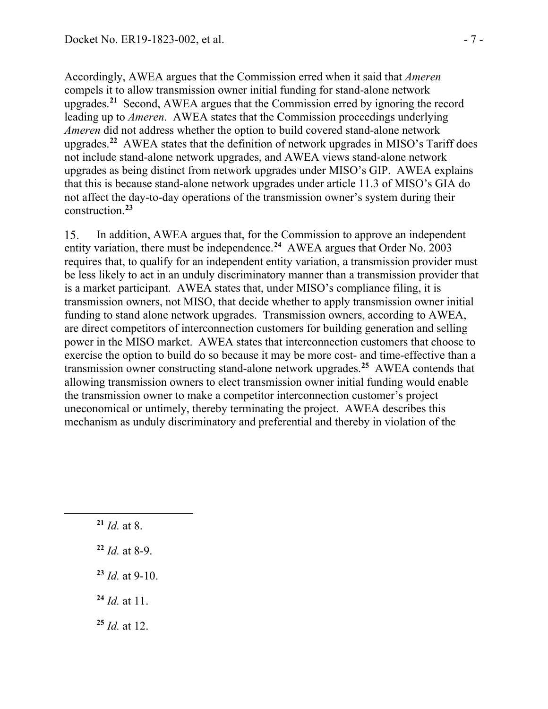Accordingly, AWEA argues that the Commission erred when it said that *Ameren* compels it to allow transmission owner initial funding for stand-alone network upgrades.**[21](#page-6-0)** Second, AWEA argues that the Commission erred by ignoring the record leading up to *Ameren*. AWEA states that the Commission proceedings underlying *Ameren* did not address whether the option to build covered stand-alone network upgrades.**[22](#page-6-1)** AWEA states that the definition of network upgrades in MISO's Tariff does not include stand-alone network upgrades, and AWEA views stand-alone network upgrades as being distinct from network upgrades under MISO's GIP. AWEA explains that this is because stand-alone network upgrades under article 11.3 of MISO's GIA do not affect the day-to-day operations of the transmission owner's system during their construction.**[23](#page-6-2)**

15. In addition, AWEA argues that, for the Commission to approve an independent entity variation, there must be independence.**[24](#page-6-3)** AWEA argues that Order No. 2003 requires that, to qualify for an independent entity variation, a transmission provider must be less likely to act in an unduly discriminatory manner than a transmission provider that is a market participant. AWEA states that, under MISO's compliance filing, it is transmission owners, not MISO, that decide whether to apply transmission owner initial funding to stand alone network upgrades. Transmission owners, according to AWEA, are direct competitors of interconnection customers for building generation and selling power in the MISO market. AWEA states that interconnection customers that choose to exercise the option to build do so because it may be more cost- and time-effective than a transmission owner constructing stand-alone network upgrades.**[25](#page-6-4)** AWEA contends that allowing transmission owners to elect transmission owner initial funding would enable the transmission owner to make a competitor interconnection customer's project uneconomical or untimely, thereby terminating the project. AWEA describes this mechanism as unduly discriminatory and preferential and thereby in violation of the

- <span id="page-6-0"></span>**<sup>21</sup>** *Id.* at 8.
- <span id="page-6-1"></span>**<sup>22</sup>** *Id.* at 8-9.
- <span id="page-6-2"></span>**<sup>23</sup>** *Id.* at 9-10.
- <span id="page-6-3"></span>**<sup>24</sup>** *Id.* at 11.
- <span id="page-6-4"></span>**<sup>25</sup>** *Id.* at 12.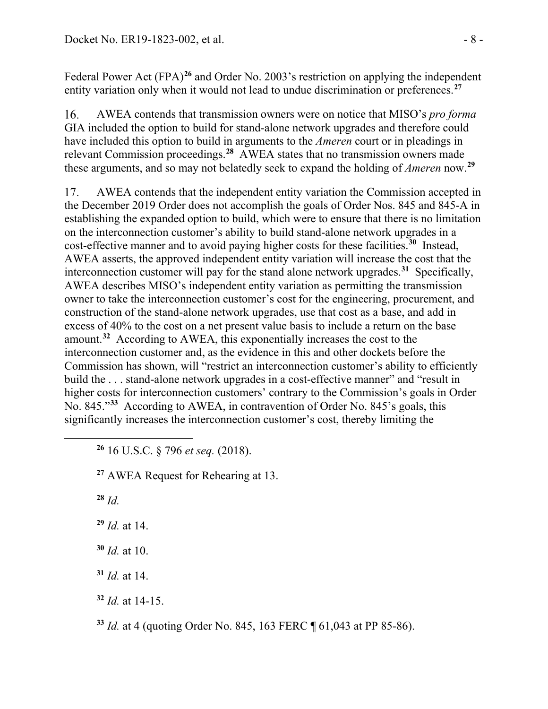Federal Power Act (FPA)<sup>[26](#page-7-0)</sup> and Order No. 2003's restriction on applying the independent entity variation only when it would not lead to undue discrimination or preferences.<sup>[27](#page-7-1)</sup>

16. AWEA contends that transmission owners were on notice that MISO's *pro forma* GIA included the option to build for stand-alone network upgrades and therefore could have included this option to build in arguments to the *Ameren* court or in pleadings in relevant Commission proceedings.**[28](#page-7-2)** AWEA states that no transmission owners made these arguments, and so may not belatedly seek to expand the holding of *Ameren* now.**[29](#page-7-3)**

AWEA contends that the independent entity variation the Commission accepted in 17. the December 2019 Order does not accomplish the goals of Order Nos. 845 and 845-A in establishing the expanded option to build, which were to ensure that there is no limitation on the interconnection customer's ability to build stand-alone network upgrades in a cost-effective manner and to avoid paying higher costs for these facilities.**[30](#page-7-4)** Instead, AWEA asserts, the approved independent entity variation will increase the cost that the interconnection customer will pay for the stand alone network upgrades.**[31](#page-7-5)** Specifically, AWEA describes MISO's independent entity variation as permitting the transmission owner to take the interconnection customer's cost for the engineering, procurement, and construction of the stand-alone network upgrades, use that cost as a base, and add in excess of 40% to the cost on a net present value basis to include a return on the base amount.**[32](#page-7-6)** According to AWEA, this exponentially increases the cost to the interconnection customer and, as the evidence in this and other dockets before the Commission has shown, will "restrict an interconnection customer's ability to efficiently build the ... stand-alone network upgrades in a cost-effective manner" and "result in higher costs for interconnection customers' contrary to the Commission's goals in Order No. 845."**[33](#page-7-7)** According to AWEA, in contravention of Order No. 845's goals, this significantly increases the interconnection customer's cost, thereby limiting the

<span id="page-7-0"></span>**<sup>26</sup>** 16 U.S.C. § 796 *et seq.* (2018).

<span id="page-7-1"></span>**<sup>27</sup>** AWEA Request for Rehearing at 13.

<span id="page-7-2"></span>**<sup>28</sup>** *Id.*

<span id="page-7-3"></span>**<sup>29</sup>** *Id.* at 14.

<span id="page-7-4"></span>**<sup>30</sup>** *Id.* at 10.

<span id="page-7-5"></span>**<sup>31</sup>** *Id.* at 14.

<span id="page-7-6"></span>**<sup>32</sup>** *Id.* at 14-15.

<span id="page-7-7"></span>**<sup>33</sup>** *Id.* at 4 (quoting Order No. 845, 163 FERC ¶ 61,043 at PP 85-86).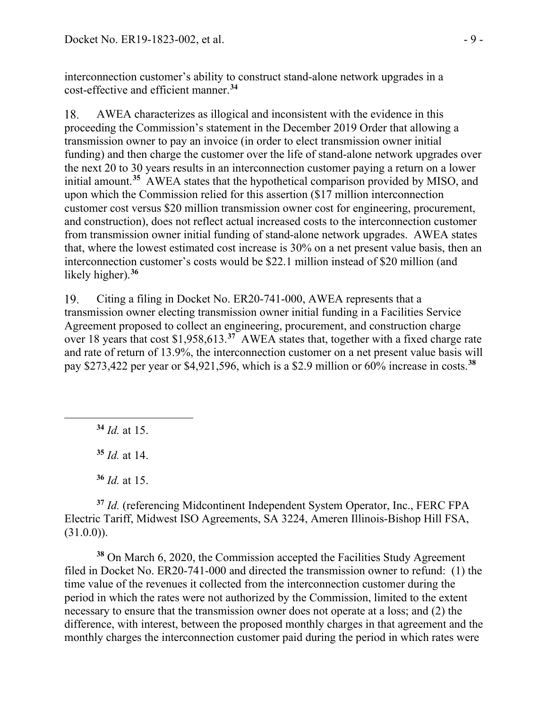interconnection customer's ability to construct stand-alone network upgrades in a cost-effective and efficient manner.**[34](#page-8-0)**

18. AWEA characterizes as illogical and inconsistent with the evidence in this proceeding the Commission's statement in the December 2019 Order that allowing a transmission owner to pay an invoice (in order to elect transmission owner initial funding) and then charge the customer over the life of stand-alone network upgrades over the next 20 to 30 years results in an interconnection customer paying a return on a lower initial amount.**[35](#page-8-1)** AWEA states that the hypothetical comparison provided by MISO, and upon which the Commission relied for this assertion (\$17 million interconnection customer cost versus \$20 million transmission owner cost for engineering, procurement, and construction), does not reflect actual increased costs to the interconnection customer from transmission owner initial funding of stand-alone network upgrades. AWEA states that, where the lowest estimated cost increase is 30% on a net present value basis, then an interconnection customer's costs would be \$22.1 million instead of \$20 million (and likely higher).**[36](#page-8-2)**

Citing a filing in Docket No. ER20-741-000, AWEA represents that a 19. transmission owner electing transmission owner initial funding in a Facilities Service Agreement proposed to collect an engineering, procurement, and construction charge over 18 years that cost \$1,958,613.**[37](#page-8-3)** AWEA states that, together with a fixed charge rate and rate of return of 13.9%, the interconnection customer on a net present value basis will pay \$273,422 per year or \$4,921,596, which is a \$2.9 million or 60% increase in costs.**[38](#page-8-4)**

<span id="page-8-0"></span>**<sup>34</sup>** *Id.* at 15.

**<sup>35</sup>** *Id.* at 14.

**<sup>36</sup>** *Id.* at 15.

<span id="page-8-3"></span><span id="page-8-2"></span><span id="page-8-1"></span>**<sup>37</sup>** *Id.* (referencing Midcontinent Independent System Operator, Inc., FERC FPA Electric Tariff, Midwest ISO Agreements, SA 3224, Ameren Illinois-Bishop Hill FSA,  $(31.0.0)$ ).

<span id="page-8-4"></span>**<sup>38</sup>** On March 6, 2020, the Commission accepted the Facilities Study Agreement filed in Docket No. ER20-741-000 and directed the transmission owner to refund: (1) the time value of the revenues it collected from the interconnection customer during the period in which the rates were not authorized by the Commission, limited to the extent necessary to ensure that the transmission owner does not operate at a loss; and (2) the difference, with interest, between the proposed monthly charges in that agreement and the monthly charges the interconnection customer paid during the period in which rates were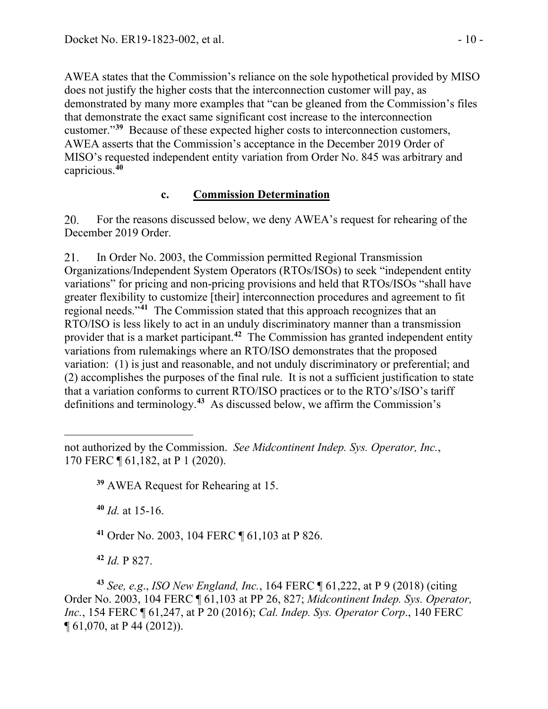AWEA states that the Commission's reliance on the sole hypothetical provided by MISO does not justify the higher costs that the interconnection customer will pay, as demonstrated by many more examples that "can be gleaned from the Commission's files that demonstrate the exact same significant cost increase to the interconnection customer."**[39](#page-9-0)** Because of these expected higher costs to interconnection customers, AWEA asserts that the Commission's acceptance in the December 2019 Order of MISO's requested independent entity variation from Order No. 845 was arbitrary and capricious.**[40](#page-9-1)**

### **c. Commission Determination**

20. For the reasons discussed below, we deny AWEA's request for rehearing of the December 2019 Order.

 $21.$ In Order No. 2003, the Commission permitted Regional Transmission Organizations/Independent System Operators (RTOs/ISOs) to seek "independent entity variations" for pricing and non-pricing provisions and held that RTOs/ISOs "shall have greater flexibility to customize [their] interconnection procedures and agreement to fit regional needs."**[41](#page-9-2)** The Commission stated that this approach recognizes that an RTO/ISO is less likely to act in an unduly discriminatory manner than a transmission provider that is a market participant.**[42](#page-9-3)** The Commission has granted independent entity variations from rulemakings where an RTO/ISO demonstrates that the proposed variation: (1) is just and reasonable, and not unduly discriminatory or preferential; and (2) accomplishes the purposes of the final rule. It is not a sufficient justification to state that a variation conforms to current RTO/ISO practices or to the RTO's/ISO's tariff definitions and terminology.**[43](#page-9-4)** As discussed below, we affirm the Commission's

**<sup>40</sup>** *Id.* at 15-16.

**<sup>41</sup>** Order No. 2003, 104 FERC ¶ 61,103 at P 826.

**<sup>42</sup>** *Id.* P 827.

<span id="page-9-4"></span><span id="page-9-3"></span><span id="page-9-2"></span>**<sup>43</sup>** *See, e.g*., *ISO New England, Inc.*, 164 FERC ¶ 61,222, at P 9 (2018) (citing Order No. 2003, 104 FERC ¶ 61,103 at PP 26, 827; *Midcontinent Indep. Sys. Operator, Inc.*, 154 FERC ¶ 61,247, at P 20 (2016); *Cal. Indep. Sys. Operator Corp.*, 140 FERC ¶ 61,070, at P 44 (2012)).

<span id="page-9-1"></span><span id="page-9-0"></span>not authorized by the Commission. *See Midcontinent Indep. Sys. Operator, Inc.*, 170 FERC ¶ 61,182, at P 1 (2020).

**<sup>39</sup>** AWEA Request for Rehearing at 15.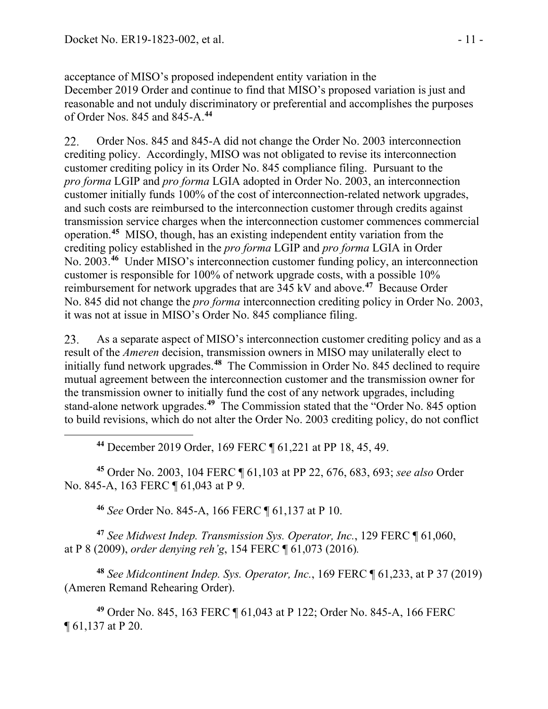acceptance of MISO's proposed independent entity variation in the December 2019 Order and continue to find that MISO's proposed variation is just and reasonable and not unduly discriminatory or preferential and accomplishes the purposes of Order Nos. 845 and 845-A.**[44](#page-10-0)**

22. Order Nos. 845 and 845-A did not change the Order No. 2003 interconnection crediting policy. Accordingly, MISO was not obligated to revise its interconnection customer crediting policy in its Order No. 845 compliance filing. Pursuant to the *pro forma* LGIP and *pro forma* LGIA adopted in Order No. 2003, an interconnection customer initially funds 100% of the cost of interconnection-related network upgrades, and such costs are reimbursed to the interconnection customer through credits against transmission service charges when the interconnection customer commences commercial operation.**[45](#page-10-1)** MISO, though, has an existing independent entity variation from the crediting policy established in the *pro forma* LGIP and *pro forma* LGIA in Order No. 2003.**[46](#page-10-2)** Under MISO's interconnection customer funding policy, an interconnection customer is responsible for 100% of network upgrade costs, with a possible 10% reimbursement for network upgrades that are 345 kV and above.**[47](#page-10-3)** Because Order No. 845 did not change the *pro forma* interconnection crediting policy in Order No. 2003, it was not at issue in MISO's Order No. 845 compliance filing.

23. As a separate aspect of MISO's interconnection customer crediting policy and as a result of the *Ameren* decision, transmission owners in MISO may unilaterally elect to initially fund network upgrades.**[48](#page-10-4)** The Commission in Order No. 845 declined to require mutual agreement between the interconnection customer and the transmission owner for the transmission owner to initially fund the cost of any network upgrades, including stand-alone network upgrades.**[49](#page-10-5)** The Commission stated that the "Order No. 845 option to build revisions, which do not alter the Order No. 2003 crediting policy, do not conflict

**<sup>44</sup>** December 2019 Order, 169 FERC ¶ 61,221 at PP 18, 45, 49.

<span id="page-10-1"></span><span id="page-10-0"></span>**<sup>45</sup>** Order No. 2003, 104 FERC ¶ 61,103 at PP 22, 676, 683, 693; *see also* Order No. 845-A, 163 FERC ¶ 61,043 at P 9.

**<sup>46</sup>** *See* Order No. 845-A, 166 FERC ¶ 61,137 at P 10.

<span id="page-10-3"></span><span id="page-10-2"></span>**<sup>47</sup>** *See Midwest Indep. Transmission Sys. Operator, Inc.*, 129 FERC ¶ 61,060, at P 8 (2009), *order denying reh'g*, 154 FERC ¶ 61,073 (2016)*.*

<span id="page-10-4"></span>**<sup>48</sup>** *See Midcontinent Indep. Sys. Operator, Inc.*, 169 FERC ¶ 61,233, at P 37 (2019) (Ameren Remand Rehearing Order).

<span id="page-10-5"></span>**<sup>49</sup>** Order No. 845, 163 FERC ¶ 61,043 at P 122; Order No. 845-A, 166 FERC ¶ 61,137 at P 20.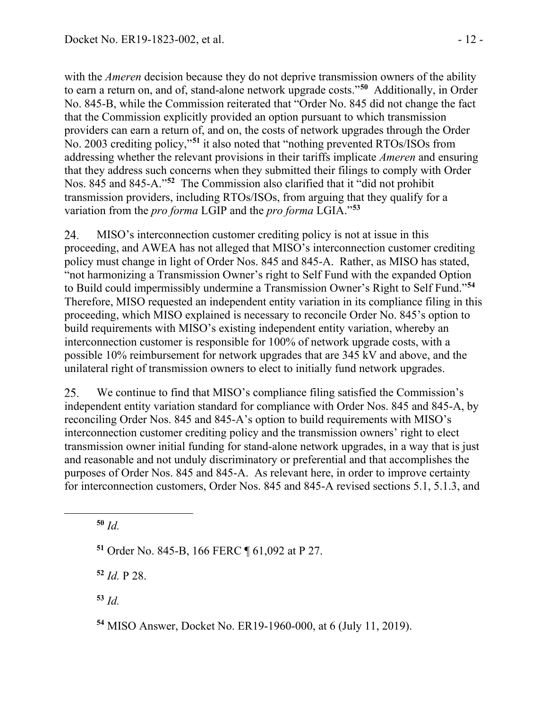with the *Ameren* decision because they do not deprive transmission owners of the ability to earn a return on, and of, stand-alone network upgrade costs."**[50](#page-11-0)** Additionally, in Order No. 845-B, while the Commission reiterated that "Order No. 845 did not change the fact that the Commission explicitly provided an option pursuant to which transmission providers can earn a return of, and on, the costs of network upgrades through the Order No. 2003 crediting policy,"**[51](#page-11-1)** it also noted that "nothing prevented RTOs/ISOs from addressing whether the relevant provisions in their tariffs implicate *Ameren* and ensuring that they address such concerns when they submitted their filings to comply with Order Nos. 845 and 845-A."**[52](#page-11-2)** The Commission also clarified that it "did not prohibit transmission providers, including RTOs/ISOs, from arguing that they qualify for a variation from the *pro forma* LGIP and the *pro forma* LGIA."**[53](#page-11-3)**

24. MISO's interconnection customer crediting policy is not at issue in this proceeding, and AWEA has not alleged that MISO's interconnection customer crediting policy must change in light of Order Nos. 845 and 845-A. Rather, as MISO has stated, "not harmonizing a Transmission Owner's right to Self Fund with the expanded Option to Build could impermissibly undermine a Transmission Owner's Right to Self Fund."**[54](#page-11-4)** Therefore, MISO requested an independent entity variation in its compliance filing in this proceeding, which MISO explained is necessary to reconcile Order No. 845's option to build requirements with MISO's existing independent entity variation, whereby an interconnection customer is responsible for 100% of network upgrade costs, with a possible 10% reimbursement for network upgrades that are 345 kV and above, and the unilateral right of transmission owners to elect to initially fund network upgrades.

We continue to find that MISO's compliance filing satisfied the Commission's 25. independent entity variation standard for compliance with Order Nos. 845 and 845-A, by reconciling Order Nos. 845 and 845-A's option to build requirements with MISO's interconnection customer crediting policy and the transmission owners' right to elect transmission owner initial funding for stand-alone network upgrades, in a way that is just and reasonable and not unduly discriminatory or preferential and that accomplishes the purposes of Order Nos. 845 and 845-A. As relevant here, in order to improve certainty for interconnection customers, Order Nos. 845 and 845-A revised sections 5.1, 5.1.3, and

<span id="page-11-0"></span>**<sup>50</sup>** *Id.*

<span id="page-11-1"></span>**<sup>51</sup>** Order No. 845-B, 166 FERC ¶ 61,092 at P 27.

<span id="page-11-2"></span>**<sup>52</sup>** *Id.* P 28.

<span id="page-11-3"></span>**<sup>53</sup>** *Id.*

<span id="page-11-4"></span>**<sup>54</sup>** MISO Answer, Docket No. ER19-1960-000, at 6 (July 11, 2019).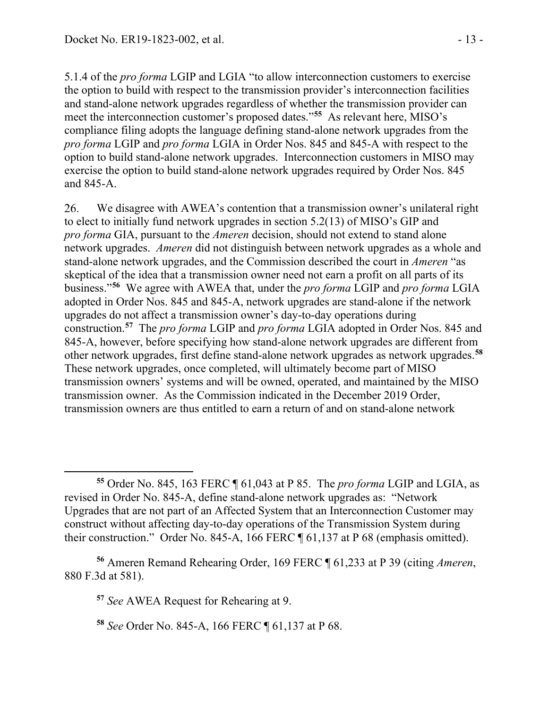5.1.4 of the *pro forma* LGIP and LGIA "to allow interconnection customers to exercise the option to build with respect to the transmission provider's interconnection facilities and stand-alone network upgrades regardless of whether the transmission provider can meet the interconnection customer's proposed dates."**[55](#page-12-0)** As relevant here, MISO's compliance filing adopts the language defining stand-alone network upgrades from the *pro forma* LGIP and *pro forma* LGIA in Order Nos. 845 and 845-A with respect to the option to build stand-alone network upgrades. Interconnection customers in MISO may exercise the option to build stand-alone network upgrades required by Order Nos. 845 and 845-A.

26. We disagree with AWEA's contention that a transmission owner's unilateral right to elect to initially fund network upgrades in section 5.2(13) of MISO's GIP and *pro forma* GIA, pursuant to the *Ameren* decision, should not extend to stand alone network upgrades. *Ameren* did not distinguish between network upgrades as a whole and stand-alone network upgrades, and the Commission described the court in *Ameren* "as skeptical of the idea that a transmission owner need not earn a profit on all parts of its business."**[56](#page-12-1)** We agree with AWEA that, under the *pro forma* LGIP and *pro forma* LGIA adopted in Order Nos. 845 and 845-A, network upgrades are stand-alone if the network upgrades do not affect a transmission owner's day-to-day operations during construction.**[57](#page-12-2)** The *pro forma* LGIP and *pro forma* LGIA adopted in Order Nos. 845 and 845-A, however, before specifying how stand-alone network upgrades are different from other network upgrades, first define stand-alone network upgrades as network upgrades.**[58](#page-12-3)** These network upgrades, once completed, will ultimately become part of MISO transmission owners' systems and will be owned, operated, and maintained by the MISO transmission owner. As the Commission indicated in the December 2019 Order, transmission owners are thus entitled to earn a return of and on stand-alone network

**<sup>57</sup>** *See* AWEA Request for Rehearing at 9.

<span id="page-12-0"></span>**<sup>55</sup>** Order No. 845, 163 FERC ¶ 61,043 at P 85. The *pro forma* LGIP and LGIA, as revised in Order No. 845-A, define stand-alone network upgrades as: "Network Upgrades that are not part of an Affected System that an Interconnection Customer may construct without affecting day-to-day operations of the Transmission System during their construction." Order No. 845-A, 166 FERC ¶ 61,137 at P 68 (emphasis omitted).

<span id="page-12-3"></span><span id="page-12-2"></span><span id="page-12-1"></span>**<sup>56</sup>** Ameren Remand Rehearing Order, 169 FERC ¶ 61,233 at P 39 (citing *Ameren*, 880 F.3d at 581).

**<sup>58</sup>** *See* Order No. 845-A, 166 FERC ¶ 61,137 at P 68.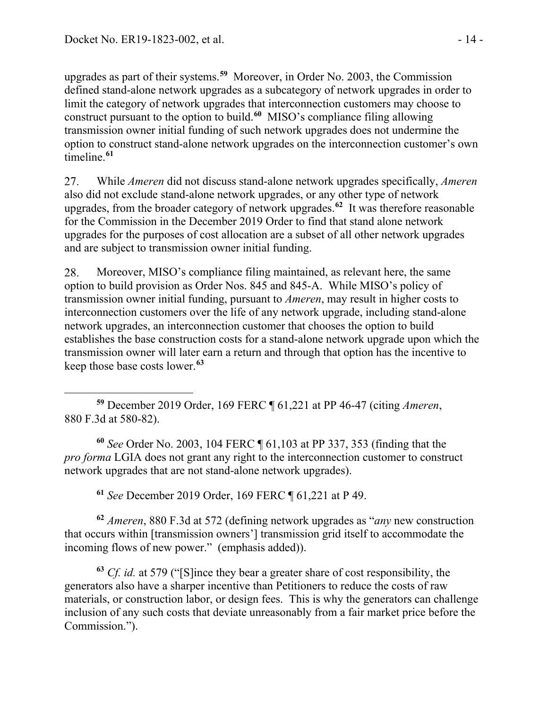upgrades as part of their systems.**[59](#page-13-0)** Moreover, in Order No. 2003, the Commission defined stand-alone network upgrades as a subcategory of network upgrades in order to limit the category of network upgrades that interconnection customers may choose to construct pursuant to the option to build.**[60](#page-13-1)** MISO's compliance filing allowing transmission owner initial funding of such network upgrades does not undermine the option to construct stand-alone network upgrades on the interconnection customer's own timeline.**[61](#page-13-2)**

27. While *Ameren* did not discuss stand-alone network upgrades specifically, *Ameren*  also did not exclude stand-alone network upgrades, or any other type of network upgrades, from the broader category of network upgrades.**[62](#page-13-3)** It was therefore reasonable for the Commission in the December 2019 Order to find that stand alone network upgrades for the purposes of cost allocation are a subset of all other network upgrades and are subject to transmission owner initial funding.

28. Moreover, MISO's compliance filing maintained, as relevant here, the same option to build provision as Order Nos. 845 and 845-A. While MISO's policy of transmission owner initial funding, pursuant to *Ameren*, may result in higher costs to interconnection customers over the life of any network upgrade, including stand-alone network upgrades, an interconnection customer that chooses the option to build establishes the base construction costs for a stand-alone network upgrade upon which the transmission owner will later earn a return and through that option has the incentive to keep those base costs lower.**[63](#page-13-4)**

<span id="page-13-0"></span>**<sup>59</sup>** December 2019 Order, 169 FERC ¶ 61,221 at PP 46-47 (citing *Ameren*, 880 F.3d at 580-82).

<span id="page-13-1"></span>**<sup>60</sup>** *See* Order No. 2003, 104 FERC ¶ 61,103 at PP 337, 353 (finding that the *pro forma* LGIA does not grant any right to the interconnection customer to construct network upgrades that are not stand-alone network upgrades).

**<sup>61</sup>** *See* December 2019 Order, 169 FERC ¶ 61,221 at P 49.

<span id="page-13-3"></span><span id="page-13-2"></span>**<sup>62</sup>** *Ameren*, 880 F.3d at 572 (defining network upgrades as "*any* new construction that occurs within [transmission owners'] transmission grid itself to accommodate the incoming flows of new power." (emphasis added)).

<span id="page-13-4"></span>**<sup>63</sup>** *Cf. id.* at 579 ("[S]ince they bear a greater share of cost responsibility, the generators also have a sharper incentive than Petitioners to reduce the costs of raw materials, or construction labor, or design fees. This is why the generators can challenge inclusion of any such costs that deviate unreasonably from a fair market price before the Commission.").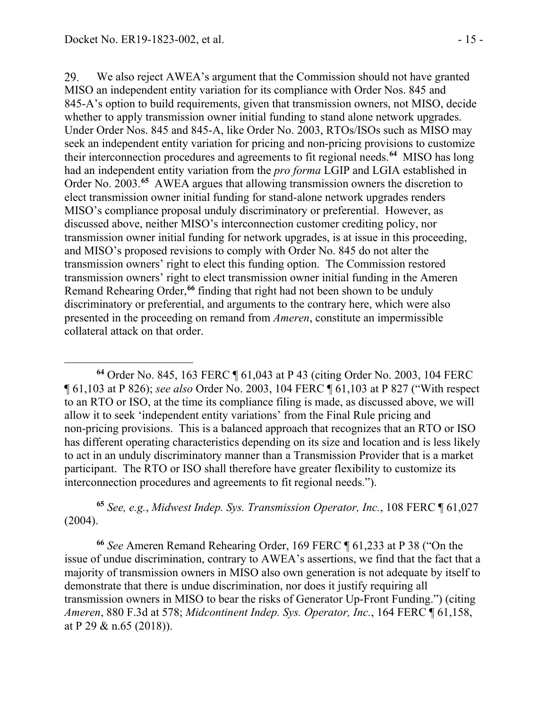29. We also reject AWEA's argument that the Commission should not have granted MISO an independent entity variation for its compliance with Order Nos. 845 and 845-A's option to build requirements, given that transmission owners, not MISO, decide whether to apply transmission owner initial funding to stand alone network upgrades. Under Order Nos. 845 and 845-A, like Order No. 2003, RTOs/ISOs such as MISO may seek an independent entity variation for pricing and non-pricing provisions to customize their interconnection procedures and agreements to fit regional needs.**[64](#page-14-0)** MISO has long had an independent entity variation from the *pro forma* LGIP and LGIA established in Order No. 2003.**[65](#page-14-1)** AWEA argues that allowing transmission owners the discretion to elect transmission owner initial funding for stand-alone network upgrades renders MISO's compliance proposal unduly discriminatory or preferential. However, as discussed above, neither MISO's interconnection customer crediting policy, nor transmission owner initial funding for network upgrades, is at issue in this proceeding, and MISO's proposed revisions to comply with Order No. 845 do not alter the transmission owners' right to elect this funding option. The Commission restored transmission owners' right to elect transmission owner initial funding in the Ameren Remand Rehearing Order,**[66](#page-14-2)** finding that right had not been shown to be unduly discriminatory or preferential, and arguments to the contrary here, which were also presented in the proceeding on remand from *Ameren*, constitute an impermissible collateral attack on that order.

<span id="page-14-0"></span>**<sup>64</sup>** Order No. 845, 163 FERC ¶ 61,043 at P 43 (citing Order No. 2003, 104 FERC ¶ 61,103 at P 826); *see also* Order No. 2003, 104 FERC ¶ 61,103 at P 827 ("With respect to an RTO or ISO, at the time its compliance filing is made, as discussed above, we will allow it to seek 'independent entity variations' from the Final Rule pricing and non-pricing provisions. This is a balanced approach that recognizes that an RTO or ISO has different operating characteristics depending on its size and location and is less likely to act in an unduly discriminatory manner than a Transmission Provider that is a market participant. The RTO or ISO shall therefore have greater flexibility to customize its interconnection procedures and agreements to fit regional needs.").

<span id="page-14-1"></span>**<sup>65</sup>** *See, e.g.*, *Midwest Indep. Sys. Transmission Operator, Inc.*, 108 FERC ¶ 61,027 (2004).

<span id="page-14-2"></span>**<sup>66</sup>** *See* Ameren Remand Rehearing Order, 169 FERC ¶ 61,233 at P 38 ("On the issue of undue discrimination, contrary to AWEA's assertions, we find that the fact that a majority of transmission owners in MISO also own generation is not adequate by itself to demonstrate that there is undue discrimination, nor does it justify requiring all transmission owners in MISO to bear the risks of Generator Up-Front Funding.") (citing *Ameren*, 880 F.3d at 578; *Midcontinent Indep. Sys. Operator, Inc.*, 164 FERC ¶ 61,158, at P 29 & n.65 (2018)).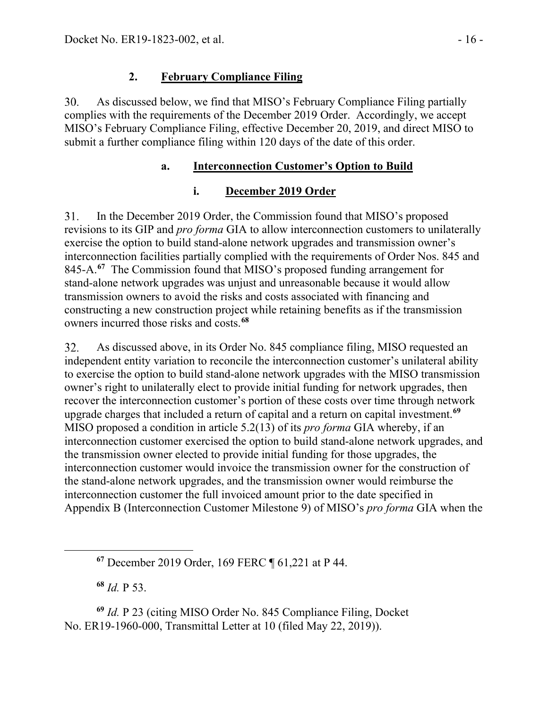### **2. February Compliance Filing**

 $30.$ As discussed below, we find that MISO's February Compliance Filing partially complies with the requirements of the December 2019 Order. Accordingly, we accept MISO's February Compliance Filing, effective December 20, 2019, and direct MISO to submit a further compliance filing within 120 days of the date of this order.

#### **a. Interconnection Customer's Option to Build**

### **i. December 2019 Order**

 $31.$ In the December 2019 Order, the Commission found that MISO's proposed revisions to its GIP and *pro forma* GIA to allow interconnection customers to unilaterally exercise the option to build stand-alone network upgrades and transmission owner's interconnection facilities partially complied with the requirements of Order Nos. 845 and 845-A.**[67](#page-15-0)** The Commission found that MISO's proposed funding arrangement for stand-alone network upgrades was unjust and unreasonable because it would allow transmission owners to avoid the risks and costs associated with financing and constructing a new construction project while retaining benefits as if the transmission owners incurred those risks and costs.**[68](#page-15-1)**

As discussed above, in its Order No. 845 compliance filing, MISO requested an 32. independent entity variation to reconcile the interconnection customer's unilateral ability to exercise the option to build stand-alone network upgrades with the MISO transmission owner's right to unilaterally elect to provide initial funding for network upgrades, then recover the interconnection customer's portion of these costs over time through network upgrade charges that included a return of capital and a return on capital investment.**[69](#page-15-2)** MISO proposed a condition in article 5.2(13) of its *pro forma* GIA whereby, if an interconnection customer exercised the option to build stand-alone network upgrades, and the transmission owner elected to provide initial funding for those upgrades, the interconnection customer would invoice the transmission owner for the construction of the stand-alone network upgrades, and the transmission owner would reimburse the interconnection customer the full invoiced amount prior to the date specified in Appendix B (Interconnection Customer Milestone 9) of MISO's *pro forma* GIA when the

**<sup>68</sup>** *Id.* P 53.

<span id="page-15-2"></span><span id="page-15-1"></span><span id="page-15-0"></span>**<sup>69</sup>** *Id.* P 23 (citing MISO Order No. 845 Compliance Filing, Docket No. ER19-1960-000, Transmittal Letter at 10 (filed May 22, 2019)).

**<sup>67</sup>** December 2019 Order, 169 FERC ¶ 61,221 at P 44.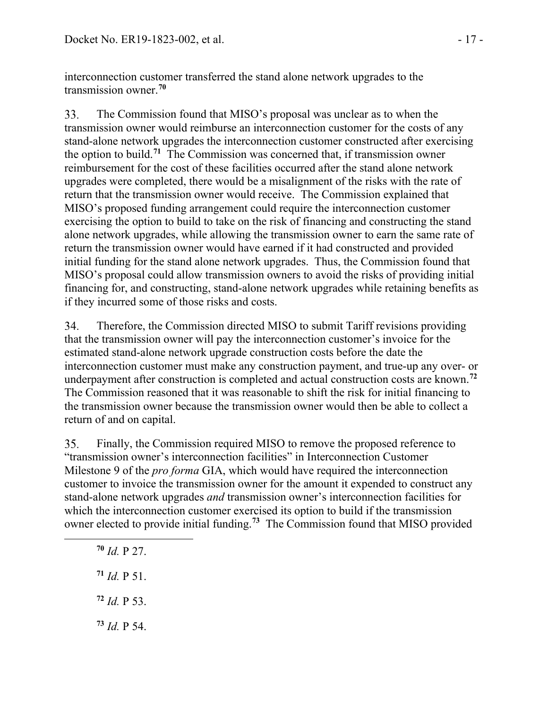interconnection customer transferred the stand alone network upgrades to the transmission owner.**[70](#page-16-0)**

33. The Commission found that MISO's proposal was unclear as to when the transmission owner would reimburse an interconnection customer for the costs of any stand-alone network upgrades the interconnection customer constructed after exercising the option to build.**[71](#page-16-1)** The Commission was concerned that, if transmission owner reimbursement for the cost of these facilities occurred after the stand alone network upgrades were completed, there would be a misalignment of the risks with the rate of return that the transmission owner would receive. The Commission explained that MISO's proposed funding arrangement could require the interconnection customer exercising the option to build to take on the risk of financing and constructing the stand alone network upgrades, while allowing the transmission owner to earn the same rate of return the transmission owner would have earned if it had constructed and provided initial funding for the stand alone network upgrades. Thus, the Commission found that MISO's proposal could allow transmission owners to avoid the risks of providing initial financing for, and constructing, stand-alone network upgrades while retaining benefits as if they incurred some of those risks and costs.

34. Therefore, the Commission directed MISO to submit Tariff revisions providing that the transmission owner will pay the interconnection customer's invoice for the estimated stand-alone network upgrade construction costs before the date the interconnection customer must make any construction payment, and true-up any over- or underpayment after construction is completed and actual construction costs are known.**[72](#page-16-2)** The Commission reasoned that it was reasonable to shift the risk for initial financing to the transmission owner because the transmission owner would then be able to collect a return of and on capital.

35. Finally, the Commission required MISO to remove the proposed reference to "transmission owner's interconnection facilities" in Interconnection Customer Milestone 9 of the *pro forma* GIA, which would have required the interconnection customer to invoice the transmission owner for the amount it expended to construct any stand-alone network upgrades *and* transmission owner's interconnection facilities for which the interconnection customer exercised its option to build if the transmission owner elected to provide initial funding.**[73](#page-16-3)** The Commission found that MISO provided

- <span id="page-16-0"></span>**<sup>70</sup>** *Id.* P 27.
- <span id="page-16-1"></span> $71$  *Id.* P 51.
- <span id="page-16-2"></span>**<sup>72</sup>** *Id.* P 53.
- <span id="page-16-3"></span>**<sup>73</sup>** *Id.* P 54.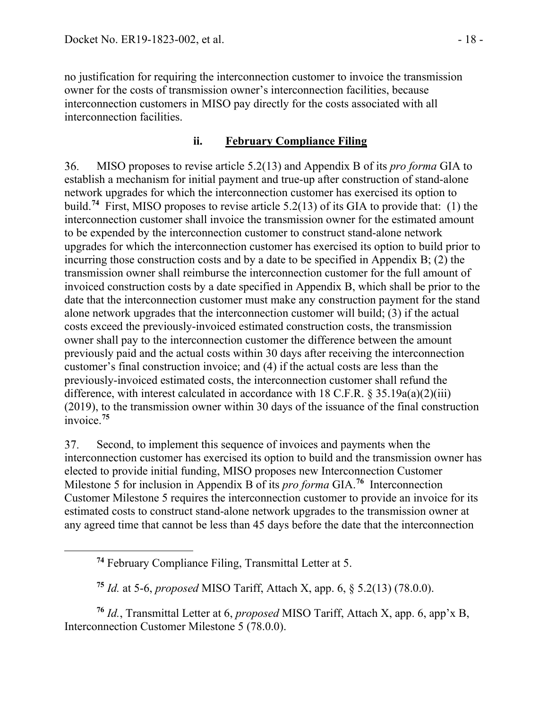no justification for requiring the interconnection customer to invoice the transmission owner for the costs of transmission owner's interconnection facilities, because interconnection customers in MISO pay directly for the costs associated with all interconnection facilities.

#### **ii. February Compliance Filing**

MISO proposes to revise article 5.2(13) and Appendix B of its *pro forma* GIA to 36. establish a mechanism for initial payment and true-up after construction of stand-alone network upgrades for which the interconnection customer has exercised its option to build.**[74](#page-17-0)** First, MISO proposes to revise article 5.2(13) of its GIA to provide that: (1) the interconnection customer shall invoice the transmission owner for the estimated amount to be expended by the interconnection customer to construct stand-alone network upgrades for which the interconnection customer has exercised its option to build prior to incurring those construction costs and by a date to be specified in Appendix B; (2) the transmission owner shall reimburse the interconnection customer for the full amount of invoiced construction costs by a date specified in Appendix B, which shall be prior to the date that the interconnection customer must make any construction payment for the stand alone network upgrades that the interconnection customer will build; (3) if the actual costs exceed the previously-invoiced estimated construction costs, the transmission owner shall pay to the interconnection customer the difference between the amount previously paid and the actual costs within 30 days after receiving the interconnection customer's final construction invoice; and (4) if the actual costs are less than the previously-invoiced estimated costs, the interconnection customer shall refund the difference, with interest calculated in accordance with 18 C.F.R.  $\S 35.19a(a)(2)(iii)$ (2019), to the transmission owner within 30 days of the issuance of the final construction invoice.**[75](#page-17-1)**

37. Second, to implement this sequence of invoices and payments when the interconnection customer has exercised its option to build and the transmission owner has elected to provide initial funding, MISO proposes new Interconnection Customer Milestone 5 for inclusion in Appendix B of its *pro forma* GIA.**[76](#page-17-2)** Interconnection Customer Milestone 5 requires the interconnection customer to provide an invoice for its estimated costs to construct stand-alone network upgrades to the transmission owner at any agreed time that cannot be less than 45 days before the date that the interconnection

**<sup>75</sup>** *Id.* at 5-6, *proposed* MISO Tariff, Attach X, app. 6, § 5.2(13) (78.0.0).

<span id="page-17-2"></span><span id="page-17-1"></span><span id="page-17-0"></span>**<sup>76</sup>** *Id.*, Transmittal Letter at 6, *proposed* MISO Tariff, Attach X, app. 6, app'x B, Interconnection Customer Milestone 5 (78.0.0).

**<sup>74</sup>** February Compliance Filing, Transmittal Letter at 5.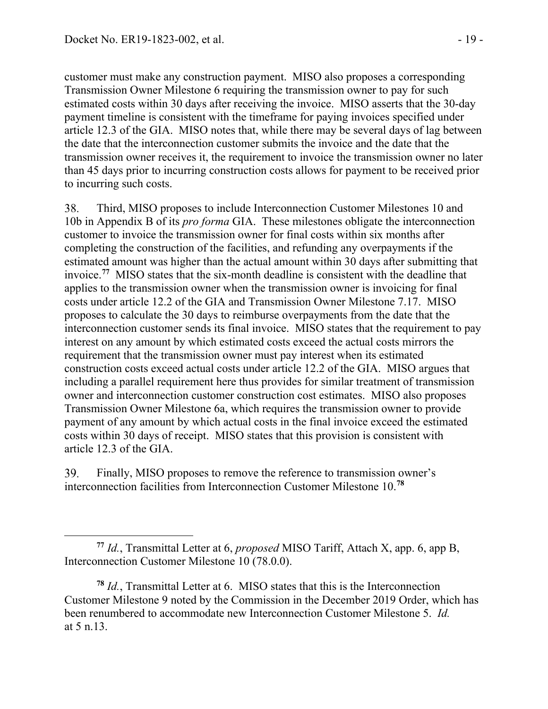customer must make any construction payment. MISO also proposes a corresponding Transmission Owner Milestone 6 requiring the transmission owner to pay for such estimated costs within 30 days after receiving the invoice. MISO asserts that the 30-day payment timeline is consistent with the timeframe for paying invoices specified under article 12.3 of the GIA. MISO notes that, while there may be several days of lag between the date that the interconnection customer submits the invoice and the date that the transmission owner receives it, the requirement to invoice the transmission owner no later than 45 days prior to incurring construction costs allows for payment to be received prior to incurring such costs.

38. Third, MISO proposes to include Interconnection Customer Milestones 10 and 10b in Appendix B of its *pro forma* GIA. These milestones obligate the interconnection customer to invoice the transmission owner for final costs within six months after completing the construction of the facilities, and refunding any overpayments if the estimated amount was higher than the actual amount within 30 days after submitting that invoice.**[77](#page-18-0)** MISO states that the six-month deadline is consistent with the deadline that applies to the transmission owner when the transmission owner is invoicing for final costs under article 12.2 of the GIA and Transmission Owner Milestone 7.17. MISO proposes to calculate the 30 days to reimburse overpayments from the date that the interconnection customer sends its final invoice. MISO states that the requirement to pay interest on any amount by which estimated costs exceed the actual costs mirrors the requirement that the transmission owner must pay interest when its estimated construction costs exceed actual costs under article 12.2 of the GIA. MISO argues that including a parallel requirement here thus provides for similar treatment of transmission owner and interconnection customer construction cost estimates. MISO also proposes Transmission Owner Milestone 6a, which requires the transmission owner to provide payment of any amount by which actual costs in the final invoice exceed the estimated costs within 30 days of receipt. MISO states that this provision is consistent with article 12.3 of the GIA.

39. Finally, MISO proposes to remove the reference to transmission owner's interconnection facilities from Interconnection Customer Milestone 10.**[78](#page-18-1)**

<span id="page-18-0"></span>**<sup>77</sup>** *Id.*, Transmittal Letter at 6, *proposed* MISO Tariff, Attach X, app. 6, app B, Interconnection Customer Milestone 10 (78.0.0).

<span id="page-18-1"></span>**<sup>78</sup>** *Id.*, Transmittal Letter at 6. MISO states that this is the Interconnection Customer Milestone 9 noted by the Commission in the December 2019 Order, which has been renumbered to accommodate new Interconnection Customer Milestone 5. *Id.* at 5 n.13.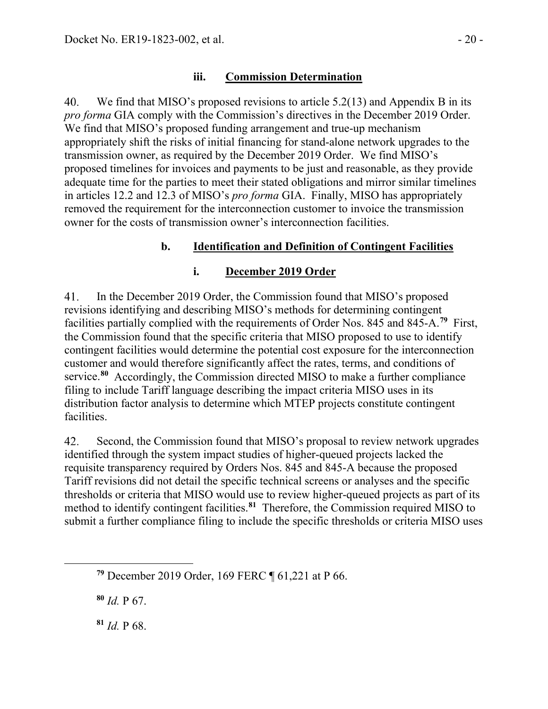#### **iii. Commission Determination**

40. We find that MISO's proposed revisions to article 5.2(13) and Appendix B in its *pro forma* GIA comply with the Commission's directives in the December 2019 Order. We find that MISO's proposed funding arrangement and true-up mechanism appropriately shift the risks of initial financing for stand-alone network upgrades to the transmission owner, as required by the December 2019 Order. We find MISO's proposed timelines for invoices and payments to be just and reasonable, as they provide adequate time for the parties to meet their stated obligations and mirror similar timelines in articles 12.2 and 12.3 of MISO's *pro forma* GIA. Finally, MISO has appropriately removed the requirement for the interconnection customer to invoice the transmission owner for the costs of transmission owner's interconnection facilities.

### **b. Identification and Definition of Contingent Facilities**

#### **i. December 2019 Order**

In the December 2019 Order, the Commission found that MISO's proposed 41. revisions identifying and describing MISO's methods for determining contingent facilities partially complied with the requirements of Order Nos. 845 and 845-A.**[79](#page-19-0)** First, the Commission found that the specific criteria that MISO proposed to use to identify contingent facilities would determine the potential cost exposure for the interconnection customer and would therefore significantly affect the rates, terms, and conditions of service.**[80](#page-19-1)** Accordingly, the Commission directed MISO to make a further compliance filing to include Tariff language describing the impact criteria MISO uses in its distribution factor analysis to determine which MTEP projects constitute contingent facilities.

42. Second, the Commission found that MISO's proposal to review network upgrades identified through the system impact studies of higher-queued projects lacked the requisite transparency required by Orders Nos. 845 and 845-A because the proposed Tariff revisions did not detail the specific technical screens or analyses and the specific thresholds or criteria that MISO would use to review higher-queued projects as part of its method to identify contingent facilities.**[81](#page-19-2)** Therefore, the Commission required MISO to submit a further compliance filing to include the specific thresholds or criteria MISO uses

<span id="page-19-1"></span>**<sup>80</sup>** *Id.* P 67.

<span id="page-19-2"></span>**<sup>81</sup>** *Id.* P 68.

<span id="page-19-0"></span>**<sup>79</sup>** December 2019 Order, 169 FERC ¶ 61,221 at P 66.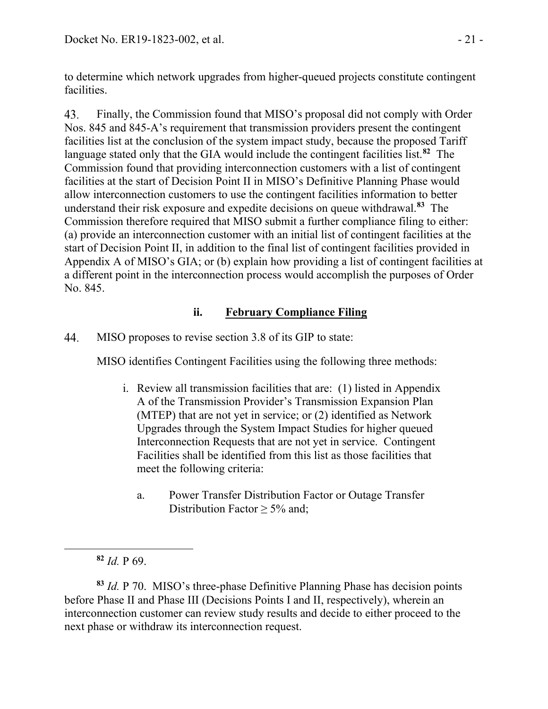to determine which network upgrades from higher-queued projects constitute contingent facilities.

43. Finally, the Commission found that MISO's proposal did not comply with Order Nos. 845 and 845-A's requirement that transmission providers present the contingent facilities list at the conclusion of the system impact study, because the proposed Tariff language stated only that the GIA would include the contingent facilities list.**[82](#page-20-0)** The Commission found that providing interconnection customers with a list of contingent facilities at the start of Decision Point II in MISO's Definitive Planning Phase would allow interconnection customers to use the contingent facilities information to better understand their risk exposure and expedite decisions on queue withdrawal.**[83](#page-20-1)** The Commission therefore required that MISO submit a further compliance filing to either: (a) provide an interconnection customer with an initial list of contingent facilities at the start of Decision Point II, in addition to the final list of contingent facilities provided in Appendix A of MISO's GIA; or (b) explain how providing a list of contingent facilities at a different point in the interconnection process would accomplish the purposes of Order No. 845.

## **ii. February Compliance Filing**

44. MISO proposes to revise section 3.8 of its GIP to state:

MISO identifies Contingent Facilities using the following three methods:

- i. Review all transmission facilities that are: (1) listed in Appendix A of the Transmission Provider's Transmission Expansion Plan (MTEP) that are not yet in service; or (2) identified as Network Upgrades through the System Impact Studies for higher queued Interconnection Requests that are not yet in service. Contingent Facilities shall be identified from this list as those facilities that meet the following criteria:
	- a. Power Transfer Distribution Factor or Outage Transfer Distribution Factor ≥ 5% and:

<span id="page-20-1"></span><span id="page-20-0"></span>**<sup>83</sup>** *Id.* P 70. MISO's three-phase Definitive Planning Phase has decision points before Phase II and Phase III (Decisions Points I and II, respectively), wherein an interconnection customer can review study results and decide to either proceed to the next phase or withdraw its interconnection request.

**<sup>82</sup>** *Id.* P 69.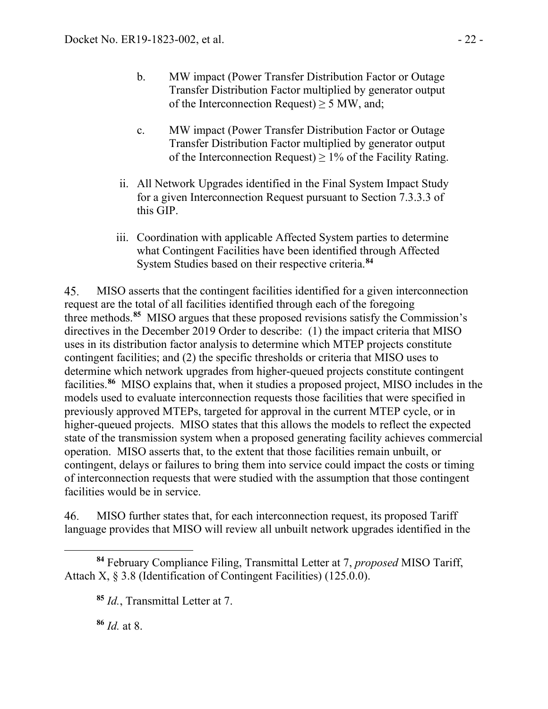- b. MW impact (Power Transfer Distribution Factor or Outage Transfer Distribution Factor multiplied by generator output of the Interconnection Request)  $\geq$  5 MW, and;
- c. MW impact (Power Transfer Distribution Factor or Outage Transfer Distribution Factor multiplied by generator output of the Interconnection Request)  $\geq 1\%$  of the Facility Rating.
- ii. All Network Upgrades identified in the Final System Impact Study for a given Interconnection Request pursuant to Section 7.3.3.3 of this GIP.
- iii. Coordination with applicable Affected System parties to determine what Contingent Facilities have been identified through Affected System Studies based on their respective criteria.**[84](#page-21-0)**

45. MISO asserts that the contingent facilities identified for a given interconnection request are the total of all facilities identified through each of the foregoing three methods.**[85](#page-21-1)** MISO argues that these proposed revisions satisfy the Commission's directives in the December 2019 Order to describe: (1) the impact criteria that MISO uses in its distribution factor analysis to determine which MTEP projects constitute contingent facilities; and (2) the specific thresholds or criteria that MISO uses to determine which network upgrades from higher-queued projects constitute contingent facilities.**[86](#page-21-2)** MISO explains that, when it studies a proposed project, MISO includes in the models used to evaluate interconnection requests those facilities that were specified in previously approved MTEPs, targeted for approval in the current MTEP cycle, or in higher-queued projects. MISO states that this allows the models to reflect the expected state of the transmission system when a proposed generating facility achieves commercial operation. MISO asserts that, to the extent that those facilities remain unbuilt, or contingent, delays or failures to bring them into service could impact the costs or timing of interconnection requests that were studied with the assumption that those contingent facilities would be in service.

46. MISO further states that, for each interconnection request, its proposed Tariff language provides that MISO will review all unbuilt network upgrades identified in the

**<sup>86</sup>** *Id.* at 8.

<span id="page-21-2"></span><span id="page-21-1"></span><span id="page-21-0"></span>**<sup>84</sup>** February Compliance Filing, Transmittal Letter at 7, *proposed* MISO Tariff, Attach X, § 3.8 (Identification of Contingent Facilities) (125.0.0).

**<sup>85</sup>** *Id.*, Transmittal Letter at 7.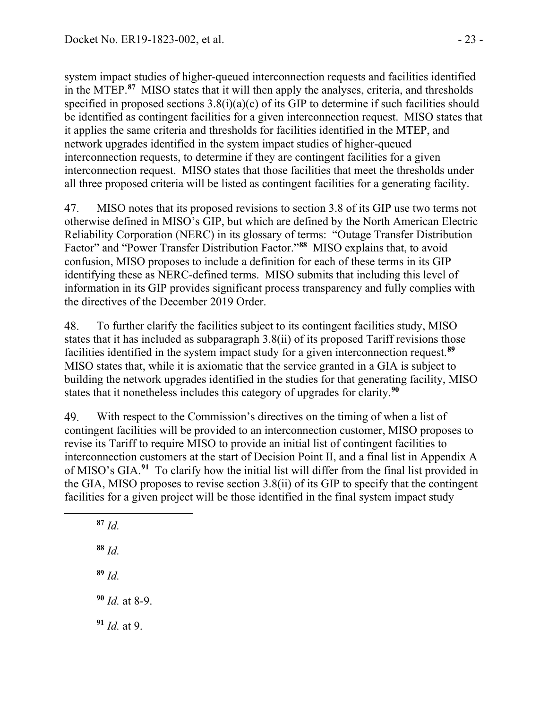system impact studies of higher-queued interconnection requests and facilities identified in the MTEP.**[87](#page-22-0)** MISO states that it will then apply the analyses, criteria, and thresholds specified in proposed sections  $3.8(i)(a)(c)$  of its GIP to determine if such facilities should be identified as contingent facilities for a given interconnection request. MISO states that it applies the same criteria and thresholds for facilities identified in the MTEP, and network upgrades identified in the system impact studies of higher-queued interconnection requests, to determine if they are contingent facilities for a given interconnection request. MISO states that those facilities that meet the thresholds under all three proposed criteria will be listed as contingent facilities for a generating facility.

47. MISO notes that its proposed revisions to section 3.8 of its GIP use two terms not otherwise defined in MISO's GIP, but which are defined by the North American Electric Reliability Corporation (NERC) in its glossary of terms: "Outage Transfer Distribution Factor" and "Power Transfer Distribution Factor."**[88](#page-22-1)** MISO explains that, to avoid confusion, MISO proposes to include a definition for each of these terms in its GIP identifying these as NERC-defined terms. MISO submits that including this level of information in its GIP provides significant process transparency and fully complies with the directives of the December 2019 Order.

48. To further clarify the facilities subject to its contingent facilities study, MISO states that it has included as subparagraph 3.8(ii) of its proposed Tariff revisions those facilities identified in the system impact study for a given interconnection request.**[89](#page-22-2)** MISO states that, while it is axiomatic that the service granted in a GIA is subject to building the network upgrades identified in the studies for that generating facility, MISO states that it nonetheless includes this category of upgrades for clarity.**[90](#page-22-3)**

49. With respect to the Commission's directives on the timing of when a list of contingent facilities will be provided to an interconnection customer, MISO proposes to revise its Tariff to require MISO to provide an initial list of contingent facilities to interconnection customers at the start of Decision Point II, and a final list in Appendix A of MISO's GIA.**[91](#page-22-4)** To clarify how the initial list will differ from the final list provided in the GIA, MISO proposes to revise section 3.8(ii) of its GIP to specify that the contingent facilities for a given project will be those identified in the final system impact study

<span id="page-22-4"></span><span id="page-22-3"></span><span id="page-22-2"></span><span id="page-22-1"></span><span id="page-22-0"></span>**<sup>87</sup>** *Id.* **<sup>88</sup>** *Id.* **<sup>89</sup>** *Id.* **<sup>90</sup>** *Id.* at 8-9. **<sup>91</sup>** *Id.* at 9.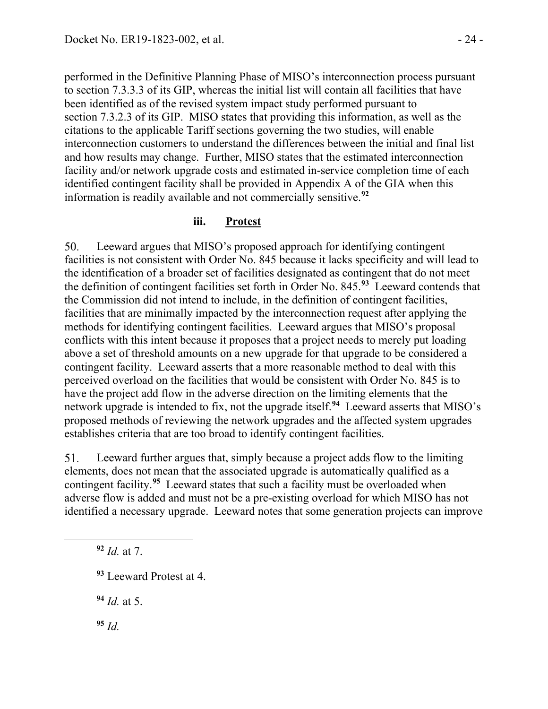performed in the Definitive Planning Phase of MISO's interconnection process pursuant to section 7.3.3.3 of its GIP, whereas the initial list will contain all facilities that have been identified as of the revised system impact study performed pursuant to section 7.3.2.3 of its GIP. MISO states that providing this information, as well as the citations to the applicable Tariff sections governing the two studies, will enable interconnection customers to understand the differences between the initial and final list and how results may change. Further, MISO states that the estimated interconnection facility and/or network upgrade costs and estimated in-service completion time of each identified contingent facility shall be provided in Appendix A of the GIA when this information is readily available and not commercially sensitive.**[92](#page-23-0)**

#### **iii. Protest**

50. Leeward argues that MISO's proposed approach for identifying contingent facilities is not consistent with Order No. 845 because it lacks specificity and will lead to the identification of a broader set of facilities designated as contingent that do not meet the definition of contingent facilities set forth in Order No. 845.**[93](#page-23-1)** Leeward contends that the Commission did not intend to include, in the definition of contingent facilities, facilities that are minimally impacted by the interconnection request after applying the methods for identifying contingent facilities. Leeward argues that MISO's proposal conflicts with this intent because it proposes that a project needs to merely put loading above a set of threshold amounts on a new upgrade for that upgrade to be considered a contingent facility. Leeward asserts that a more reasonable method to deal with this perceived overload on the facilities that would be consistent with Order No. 845 is to have the project add flow in the adverse direction on the limiting elements that the network upgrade is intended to fix, not the upgrade itself.**[94](#page-23-2)** Leeward asserts that MISO's proposed methods of reviewing the network upgrades and the affected system upgrades establishes criteria that are too broad to identify contingent facilities.

51. Leeward further argues that, simply because a project adds flow to the limiting elements, does not mean that the associated upgrade is automatically qualified as a contingent facility.**[95](#page-23-3)** Leeward states that such a facility must be overloaded when adverse flow is added and must not be a pre-existing overload for which MISO has not identified a necessary upgrade. Leeward notes that some generation projects can improve

<span id="page-23-0"></span>**<sup>92</sup>** *Id.* at 7.

<span id="page-23-2"></span>**<sup>94</sup>** *Id.* at 5.

<span id="page-23-3"></span>**<sup>95</sup>** *Id.*

<span id="page-23-1"></span>**<sup>93</sup>** Leeward Protest at 4.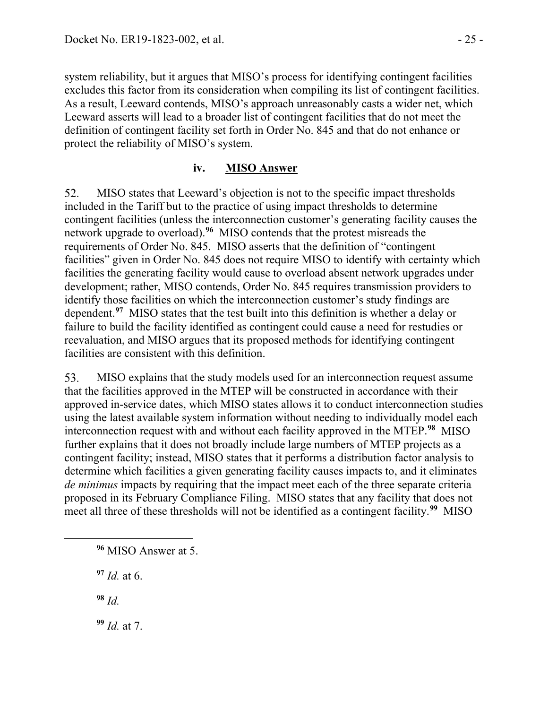system reliability, but it argues that MISO's process for identifying contingent facilities excludes this factor from its consideration when compiling its list of contingent facilities. As a result, Leeward contends, MISO's approach unreasonably casts a wider net, which Leeward asserts will lead to a broader list of contingent facilities that do not meet the definition of contingent facility set forth in Order No. 845 and that do not enhance or protect the reliability of MISO's system.

### **iv. MISO Answer**

52. MISO states that Leeward's objection is not to the specific impact thresholds included in the Tariff but to the practice of using impact thresholds to determine contingent facilities (unless the interconnection customer's generating facility causes the network upgrade to overload).**[96](#page-24-0)** MISO contends that the protest misreads the requirements of Order No. 845. MISO asserts that the definition of "contingent facilities" given in Order No. 845 does not require MISO to identify with certainty which facilities the generating facility would cause to overload absent network upgrades under development; rather, MISO contends, Order No. 845 requires transmission providers to identify those facilities on which the interconnection customer's study findings are dependent.**[97](#page-24-1)** MISO states that the test built into this definition is whether a delay or failure to build the facility identified as contingent could cause a need for restudies or reevaluation, and MISO argues that its proposed methods for identifying contingent facilities are consistent with this definition.

MISO explains that the study models used for an interconnection request assume 53. that the facilities approved in the MTEP will be constructed in accordance with their approved in-service dates, which MISO states allows it to conduct interconnection studies using the latest available system information without needing to individually model each interconnection request with and without each facility approved in the MTEP.**[98](#page-24-2)** MISO further explains that it does not broadly include large numbers of MTEP projects as a contingent facility; instead, MISO states that it performs a distribution factor analysis to determine which facilities a given generating facility causes impacts to, and it eliminates *de minimus* impacts by requiring that the impact meet each of the three separate criteria proposed in its February Compliance Filing. MISO states that any facility that does not meet all three of these thresholds will not be identified as a contingent facility.**[99](#page-24-3)** MISO

<span id="page-24-1"></span>**<sup>97</sup>** *Id.* at 6.

<span id="page-24-2"></span>**<sup>98</sup>** *Id.*

<span id="page-24-3"></span>**<sup>99</sup>** *Id.* at 7.

<span id="page-24-0"></span>**<sup>96</sup>** MISO Answer at 5.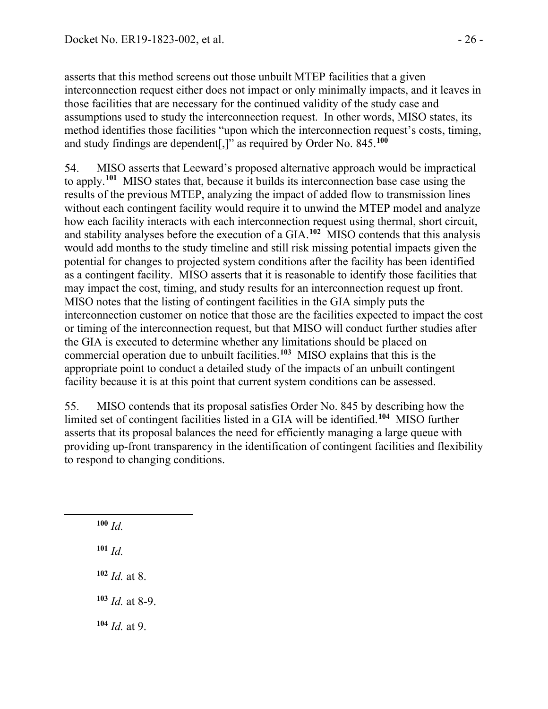asserts that this method screens out those unbuilt MTEP facilities that a given interconnection request either does not impact or only minimally impacts, and it leaves in those facilities that are necessary for the continued validity of the study case and assumptions used to study the interconnection request. In other words, MISO states, its method identifies those facilities "upon which the interconnection request's costs, timing, and study findings are dependent[,]" as required by Order No. 845.**[100](#page-25-0)**

54. MISO asserts that Leeward's proposed alternative approach would be impractical to apply.**[101](#page-25-1)** MISO states that, because it builds its interconnection base case using the results of the previous MTEP, analyzing the impact of added flow to transmission lines without each contingent facility would require it to unwind the MTEP model and analyze how each facility interacts with each interconnection request using thermal, short circuit, and stability analyses before the execution of a GIA.**[102](#page-25-2)** MISO contends that this analysis would add months to the study timeline and still risk missing potential impacts given the potential for changes to projected system conditions after the facility has been identified as a contingent facility. MISO asserts that it is reasonable to identify those facilities that may impact the cost, timing, and study results for an interconnection request up front. MISO notes that the listing of contingent facilities in the GIA simply puts the interconnection customer on notice that those are the facilities expected to impact the cost or timing of the interconnection request, but that MISO will conduct further studies after the GIA is executed to determine whether any limitations should be placed on commercial operation due to unbuilt facilities.**[103](#page-25-3)** MISO explains that this is the appropriate point to conduct a detailed study of the impacts of an unbuilt contingent facility because it is at this point that current system conditions can be assessed.

55. MISO contends that its proposal satisfies Order No. 845 by describing how the limited set of contingent facilities listed in a GIA will be identified.**[104](#page-25-4)** MISO further asserts that its proposal balances the need for efficiently managing a large queue with providing up-front transparency in the identification of contingent facilities and flexibility to respond to changing conditions.

<span id="page-25-4"></span><span id="page-25-3"></span><span id="page-25-2"></span><span id="page-25-1"></span><span id="page-25-0"></span>

| $100$ Id.              |                          |
|------------------------|--------------------------|
| $101 \, Id.$           |                          |
| $102$ <i>Id.</i> at 8. |                          |
|                        | $103$ <i>Id.</i> at 8-9. |
| $104$ <i>Id.</i> at 9. |                          |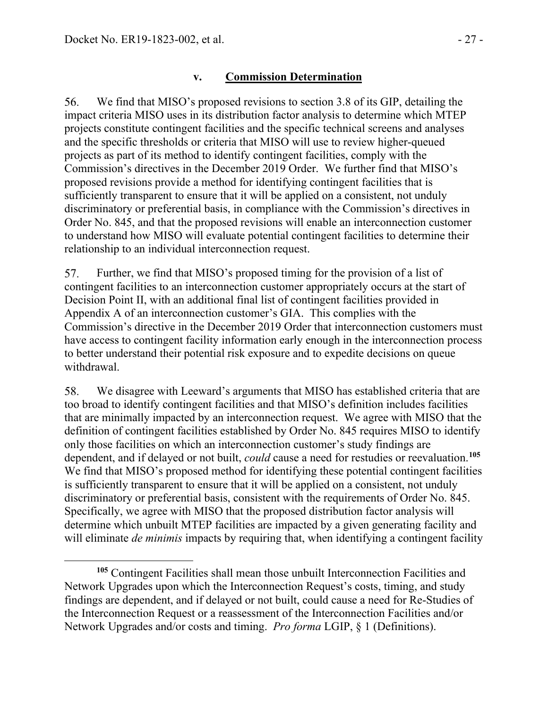#### **v. Commission Determination**

56. We find that MISO's proposed revisions to section 3.8 of its GIP, detailing the impact criteria MISO uses in its distribution factor analysis to determine which MTEP projects constitute contingent facilities and the specific technical screens and analyses and the specific thresholds or criteria that MISO will use to review higher-queued projects as part of its method to identify contingent facilities, comply with the Commission's directives in the December 2019 Order. We further find that MISO's proposed revisions provide a method for identifying contingent facilities that is sufficiently transparent to ensure that it will be applied on a consistent, not unduly discriminatory or preferential basis, in compliance with the Commission's directives in Order No. 845, and that the proposed revisions will enable an interconnection customer to understand how MISO will evaluate potential contingent facilities to determine their relationship to an individual interconnection request.

57. Further, we find that MISO's proposed timing for the provision of a list of contingent facilities to an interconnection customer appropriately occurs at the start of Decision Point II, with an additional final list of contingent facilities provided in Appendix A of an interconnection customer's GIA. This complies with the Commission's directive in the December 2019 Order that interconnection customers must have access to contingent facility information early enough in the interconnection process to better understand their potential risk exposure and to expedite decisions on queue withdrawal.

58. We disagree with Leeward's arguments that MISO has established criteria that are too broad to identify contingent facilities and that MISO's definition includes facilities that are minimally impacted by an interconnection request. We agree with MISO that the definition of contingent facilities established by Order No. 845 requires MISO to identify only those facilities on which an interconnection customer's study findings are dependent, and if delayed or not built, *could* cause a need for restudies or reevaluation.**[105](#page-26-0)** We find that MISO's proposed method for identifying these potential contingent facilities is sufficiently transparent to ensure that it will be applied on a consistent, not unduly discriminatory or preferential basis, consistent with the requirements of Order No. 845. Specifically, we agree with MISO that the proposed distribution factor analysis will determine which unbuilt MTEP facilities are impacted by a given generating facility and will eliminate *de minimis* impacts by requiring that, when identifying a contingent facility

<span id="page-26-0"></span>**<sup>105</sup>** Contingent Facilities shall mean those unbuilt Interconnection Facilities and Network Upgrades upon which the Interconnection Request's costs, timing, and study findings are dependent, and if delayed or not built, could cause a need for Re-Studies of the Interconnection Request or a reassessment of the Interconnection Facilities and/or Network Upgrades and/or costs and timing. *Pro forma* LGIP, § 1 (Definitions).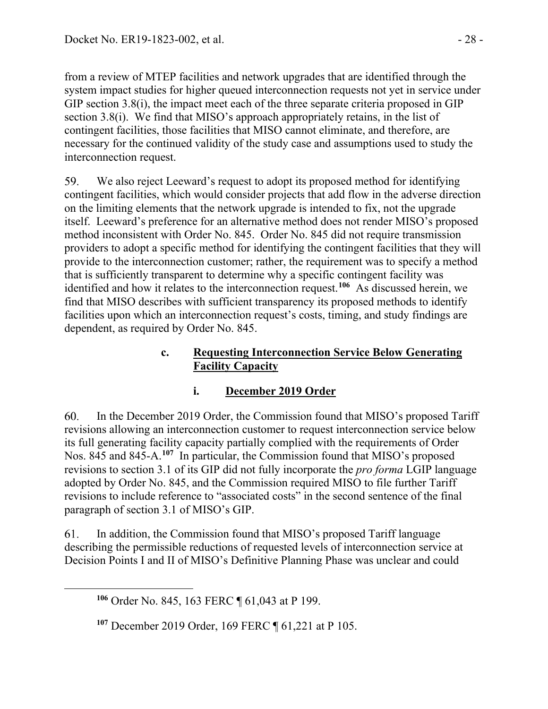from a review of MTEP facilities and network upgrades that are identified through the system impact studies for higher queued interconnection requests not yet in service under GIP section 3.8(i), the impact meet each of the three separate criteria proposed in GIP section 3.8(i). We find that MISO's approach appropriately retains, in the list of contingent facilities, those facilities that MISO cannot eliminate, and therefore, are necessary for the continued validity of the study case and assumptions used to study the interconnection request.

59. We also reject Leeward's request to adopt its proposed method for identifying contingent facilities, which would consider projects that add flow in the adverse direction on the limiting elements that the network upgrade is intended to fix, not the upgrade itself. Leeward's preference for an alternative method does not render MISO's proposed method inconsistent with Order No. 845. Order No. 845 did not require transmission providers to adopt a specific method for identifying the contingent facilities that they will provide to the interconnection customer; rather, the requirement was to specify a method that is sufficiently transparent to determine why a specific contingent facility was identified and how it relates to the interconnection request.**[106](#page-27-0)** As discussed herein, we find that MISO describes with sufficient transparency its proposed methods to identify facilities upon which an interconnection request's costs, timing, and study findings are dependent, as required by Order No. 845.

### **c. Requesting Interconnection Service Below Generating Facility Capacity**

# **i. December 2019 Order**

60. In the December 2019 Order, the Commission found that MISO's proposed Tariff revisions allowing an interconnection customer to request interconnection service below its full generating facility capacity partially complied with the requirements of Order Nos. 845 and 845-A.**[107](#page-27-1)** In particular, the Commission found that MISO's proposed revisions to section 3.1 of its GIP did not fully incorporate the *pro forma* LGIP language adopted by Order No. 845, and the Commission required MISO to file further Tariff revisions to include reference to "associated costs" in the second sentence of the final paragraph of section 3.1 of MISO's GIP.

<span id="page-27-0"></span>In addition, the Commission found that MISO's proposed Tariff language 61. describing the permissible reductions of requested levels of interconnection service at Decision Points I and II of MISO's Definitive Planning Phase was unclear and could

**<sup>106</sup>** Order No. 845, 163 FERC ¶ 61,043 at P 199.

<span id="page-27-1"></span>**<sup>107</sup>** December 2019 Order, 169 FERC ¶ 61,221 at P 105.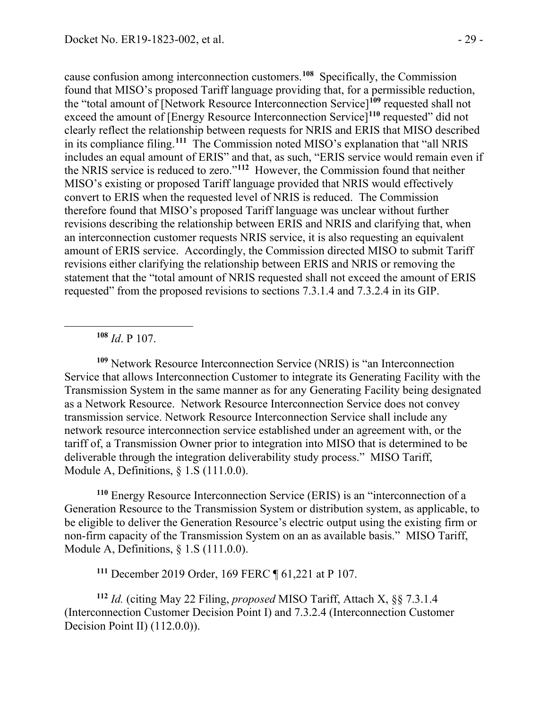cause confusion among interconnection customers.**[108](#page-28-0)** Specifically, the Commission found that MISO's proposed Tariff language providing that, for a permissible reduction, the "total amount of [Network Resource Interconnection Service]**[109](#page-28-1)** requested shall not exceed the amount of [Energy Resource Interconnection Service]**[110](#page-28-2)** requested" did not clearly reflect the relationship between requests for NRIS and ERIS that MISO described in its compliance filing.**[111](#page-28-3)** The Commission noted MISO's explanation that "all NRIS includes an equal amount of ERIS" and that, as such, "ERIS service would remain even if the NRIS service is reduced to zero."**[112](#page-28-4)** However, the Commission found that neither MISO's existing or proposed Tariff language provided that NRIS would effectively convert to ERIS when the requested level of NRIS is reduced. The Commission therefore found that MISO's proposed Tariff language was unclear without further revisions describing the relationship between ERIS and NRIS and clarifying that, when an interconnection customer requests NRIS service, it is also requesting an equivalent amount of ERIS service. Accordingly, the Commission directed MISO to submit Tariff revisions either clarifying the relationship between ERIS and NRIS or removing the statement that the "total amount of NRIS requested shall not exceed the amount of ERIS requested" from the proposed revisions to sections 7.3.1.4 and 7.3.2.4 in its GIP.

**<sup>108</sup>** *Id*. P 107.

<span id="page-28-1"></span><span id="page-28-0"></span>**<sup>109</sup>** Network Resource Interconnection Service (NRIS) is "an Interconnection Service that allows Interconnection Customer to integrate its Generating Facility with the Transmission System in the same manner as for any Generating Facility being designated as a Network Resource. Network Resource Interconnection Service does not convey transmission service. Network Resource Interconnection Service shall include any network resource interconnection service established under an agreement with, or the tariff of, a Transmission Owner prior to integration into MISO that is determined to be deliverable through the integration deliverability study process." MISO Tariff, Module A, Definitions, § 1.S (111.0.0).

<span id="page-28-2"></span>**<sup>110</sup>** Energy Resource Interconnection Service (ERIS) is an "interconnection of a Generation Resource to the Transmission System or distribution system, as applicable, to be eligible to deliver the Generation Resource's electric output using the existing firm or non-firm capacity of the Transmission System on an as available basis." MISO Tariff, Module A, Definitions, § 1.S (111.0.0).

**<sup>111</sup>** December 2019 Order, 169 FERC ¶ 61,221 at P 107.

<span id="page-28-4"></span><span id="page-28-3"></span>**<sup>112</sup>** *Id.* (citing May 22 Filing, *proposed* MISO Tariff, Attach X, §§ 7.3.1.4 (Interconnection Customer Decision Point I) and 7.3.2.4 (Interconnection Customer Decision Point II) (112.0.0)).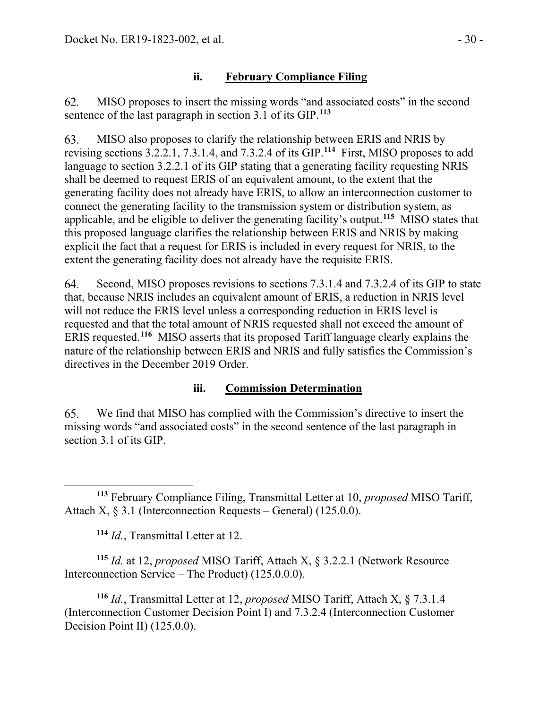## **ii. February Compliance Filing**

MISO proposes to insert the missing words "and associated costs" in the second 62. sentence of the last paragraph in section 3.1 of its GIP.**[113](#page-29-0)**

63. MISO also proposes to clarify the relationship between ERIS and NRIS by revising sections 3.2.2.1, 7.3.1.4, and 7.3.2.4 of its GIP.**[114](#page-29-1)** First, MISO proposes to add language to section 3.2.2.1 of its GIP stating that a generating facility requesting NRIS shall be deemed to request ERIS of an equivalent amount, to the extent that the generating facility does not already have ERIS, to allow an interconnection customer to connect the generating facility to the transmission system or distribution system, as applicable, and be eligible to deliver the generating facility's output.**[115](#page-29-2)** MISO states that this proposed language clarifies the relationship between ERIS and NRIS by making explicit the fact that a request for ERIS is included in every request for NRIS, to the extent the generating facility does not already have the requisite ERIS.

Second, MISO proposes revisions to sections 7.3.1.4 and 7.3.2.4 of its GIP to state 64. that, because NRIS includes an equivalent amount of ERIS, a reduction in NRIS level will not reduce the ERIS level unless a corresponding reduction in ERIS level is requested and that the total amount of NRIS requested shall not exceed the amount of ERIS requested.**[116](#page-29-3)** MISO asserts that its proposed Tariff language clearly explains the nature of the relationship between ERIS and NRIS and fully satisfies the Commission's directives in the December 2019 Order.

# **iii. Commission Determination**

65. We find that MISO has complied with the Commission's directive to insert the missing words "and associated costs" in the second sentence of the last paragraph in section 3.1 of its GIP.

**<sup>114</sup>** *Id.*, Transmittal Letter at 12.

<span id="page-29-2"></span><span id="page-29-1"></span>**<sup>115</sup>** *Id.* at 12, *proposed* MISO Tariff, Attach X, § 3.2.2.1 (Network Resource Interconnection Service – The Product) (125.0.0.0).

<span id="page-29-3"></span>**<sup>116</sup>** *Id.*, Transmittal Letter at 12, *proposed* MISO Tariff, Attach X, § 7.3.1.4 (Interconnection Customer Decision Point I) and 7.3.2.4 (Interconnection Customer Decision Point II) (125.0.0).

<span id="page-29-0"></span>**<sup>113</sup>** February Compliance Filing, Transmittal Letter at 10, *proposed* MISO Tariff, Attach X,  $\S 3.1$  (Interconnection Requests – General) (125.0.0).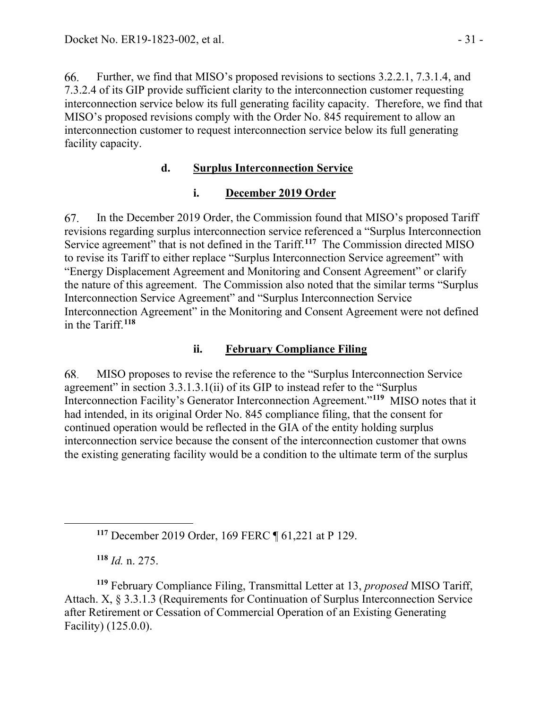66. Further, we find that MISO's proposed revisions to sections 3.2.2.1, 7.3.1.4, and 7.3.2.4 of its GIP provide sufficient clarity to the interconnection customer requesting interconnection service below its full generating facility capacity. Therefore, we find that MISO's proposed revisions comply with the Order No. 845 requirement to allow an interconnection customer to request interconnection service below its full generating facility capacity.

## **d. Surplus Interconnection Service**

### **i. December 2019 Order**

67. In the December 2019 Order, the Commission found that MISO's proposed Tariff revisions regarding surplus interconnection service referenced a "Surplus Interconnection Service agreement" that is not defined in the Tariff.<sup>[117](#page-30-0)</sup> The Commission directed MISO to revise its Tariff to either replace "Surplus Interconnection Service agreement" with "Energy Displacement Agreement and Monitoring and Consent Agreement" or clarify the nature of this agreement. The Commission also noted that the similar terms "Surplus Interconnection Service Agreement" and "Surplus Interconnection Service Interconnection Agreement" in the Monitoring and Consent Agreement were not defined in the Tariff.**[118](#page-30-1)**

### **ii. February Compliance Filing**

68. MISO proposes to revise the reference to the "Surplus Interconnection Service agreement" in section 3.3.1.3.1(ii) of its GIP to instead refer to the "Surplus Interconnection Facility's Generator Interconnection Agreement."**[119](#page-30-2)** MISO notes that it had intended, in its original Order No. 845 compliance filing, that the consent for continued operation would be reflected in the GIA of the entity holding surplus interconnection service because the consent of the interconnection customer that owns the existing generating facility would be a condition to the ultimate term of the surplus

**<sup>117</sup>** December 2019 Order, 169 FERC ¶ 61,221 at P 129.

**<sup>118</sup>** *Id.* n. 275.

<span id="page-30-2"></span><span id="page-30-1"></span><span id="page-30-0"></span>**<sup>119</sup>** February Compliance Filing, Transmittal Letter at 13, *proposed* MISO Tariff, Attach. X, § 3.3.1.3 (Requirements for Continuation of Surplus Interconnection Service after Retirement or Cessation of Commercial Operation of an Existing Generating Facility) (125.0.0).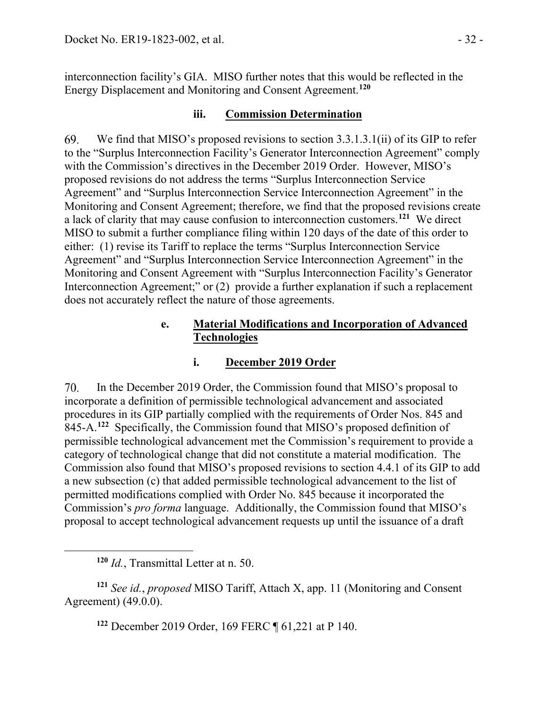interconnection facility's GIA. MISO further notes that this would be reflected in the Energy Displacement and Monitoring and Consent Agreement.**[120](#page-31-0)**

### **iii. Commission Determination**

69. We find that MISO's proposed revisions to section 3.3.1.3.1(ii) of its GIP to refer to the "Surplus Interconnection Facility's Generator Interconnection Agreement" comply with the Commission's directives in the December 2019 Order. However, MISO's proposed revisions do not address the terms "Surplus Interconnection Service Agreement" and "Surplus Interconnection Service Interconnection Agreement" in the Monitoring and Consent Agreement; therefore, we find that the proposed revisions create a lack of clarity that may cause confusion to interconnection customers.**[121](#page-31-1)** We direct MISO to submit a further compliance filing within 120 days of the date of this order to either: (1) revise its Tariff to replace the terms "Surplus Interconnection Service Agreement" and "Surplus Interconnection Service Interconnection Agreement" in the Monitoring and Consent Agreement with "Surplus Interconnection Facility's Generator Interconnection Agreement;" or (2) provide a further explanation if such a replacement does not accurately reflect the nature of those agreements.

### **e. Material Modifications and Incorporation of Advanced Technologies**

# **i. December 2019 Order**

70. In the December 2019 Order, the Commission found that MISO's proposal to incorporate a definition of permissible technological advancement and associated procedures in its GIP partially complied with the requirements of Order Nos. 845 and 845-A.**[122](#page-31-2)** Specifically, the Commission found that MISO's proposed definition of permissible technological advancement met the Commission's requirement to provide a category of technological change that did not constitute a material modification. The Commission also found that MISO's proposed revisions to section 4.4.1 of its GIP to add a new subsection (c) that added permissible technological advancement to the list of permitted modifications complied with Order No. 845 because it incorporated the Commission's *pro forma* language. Additionally, the Commission found that MISO's proposal to accept technological advancement requests up until the issuance of a draft

**<sup>122</sup>** December 2019 Order, 169 FERC ¶ 61,221 at P 140.

**<sup>120</sup>** *Id.*, Transmittal Letter at n. 50.

<span id="page-31-2"></span><span id="page-31-1"></span><span id="page-31-0"></span>**<sup>121</sup>** *See id.*, *proposed* MISO Tariff, Attach X, app. 11 (Monitoring and Consent Agreement) (49.0.0).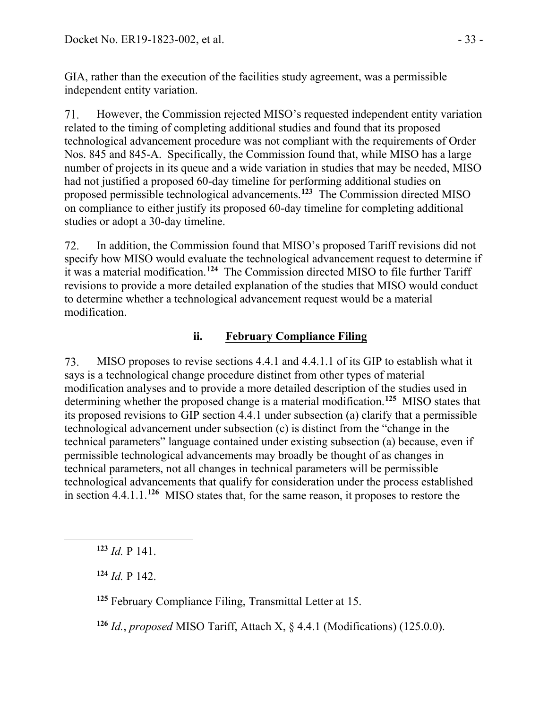GIA, rather than the execution of the facilities study agreement, was a permissible independent entity variation.

71. However, the Commission rejected MISO's requested independent entity variation related to the timing of completing additional studies and found that its proposed technological advancement procedure was not compliant with the requirements of Order Nos. 845 and 845-A. Specifically, the Commission found that, while MISO has a large number of projects in its queue and a wide variation in studies that may be needed, MISO had not justified a proposed 60-day timeline for performing additional studies on proposed permissible technological advancements.**[123](#page-32-0)** The Commission directed MISO on compliance to either justify its proposed 60-day timeline for completing additional studies or adopt a 30-day timeline.

In addition, the Commission found that MISO's proposed Tariff revisions did not 72. specify how MISO would evaluate the technological advancement request to determine if it was a material modification.**[124](#page-32-1)** The Commission directed MISO to file further Tariff revisions to provide a more detailed explanation of the studies that MISO would conduct to determine whether a technological advancement request would be a material modification.

## **ii. February Compliance Filing**

MISO proposes to revise sections 4.4.1 and 4.4.1.1 of its GIP to establish what it 73. says is a technological change procedure distinct from other types of material modification analyses and to provide a more detailed description of the studies used in determining whether the proposed change is a material modification.**[125](#page-32-2)** MISO states that its proposed revisions to GIP section 4.4.1 under subsection (a) clarify that a permissible technological advancement under subsection (c) is distinct from the "change in the technical parameters" language contained under existing subsection (a) because, even if permissible technological advancements may broadly be thought of as changes in technical parameters, not all changes in technical parameters will be permissible technological advancements that qualify for consideration under the process established in section 4.4.1.1.**[126](#page-32-3)** MISO states that, for the same reason, it proposes to restore the

<span id="page-32-1"></span>**<sup>124</sup>** *Id.* P 142.

<span id="page-32-2"></span>**<sup>125</sup>** February Compliance Filing, Transmittal Letter at 15.

<span id="page-32-3"></span>**<sup>126</sup>** *Id.*, *proposed* MISO Tariff, Attach X, § 4.4.1 (Modifications) (125.0.0).

<span id="page-32-0"></span> $123$  *Id.* P 141.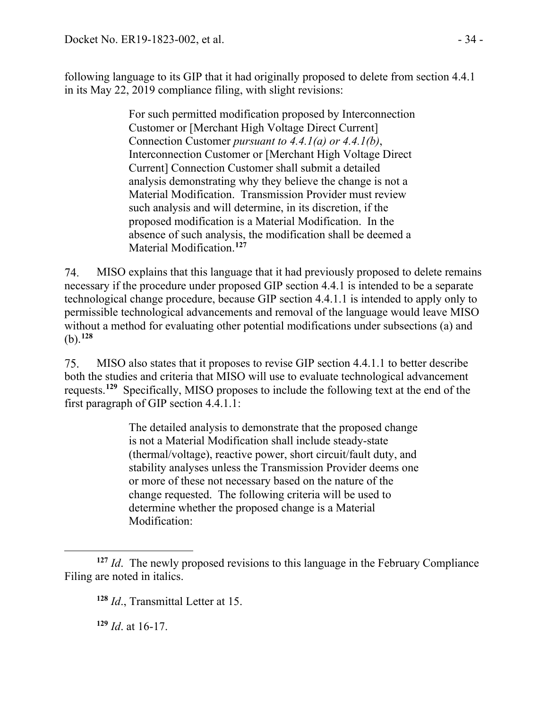following language to its GIP that it had originally proposed to delete from section 4.4.1 in its May 22, 2019 compliance filing, with slight revisions:

> For such permitted modification proposed by Interconnection Customer or [Merchant High Voltage Direct Current] Connection Customer *pursuant to 4.4.1(a) or 4.4.1(b)*, Interconnection Customer or [Merchant High Voltage Direct Current] Connection Customer shall submit a detailed analysis demonstrating why they believe the change is not a Material Modification. Transmission Provider must review such analysis and will determine, in its discretion, if the proposed modification is a Material Modification. In the absence of such analysis, the modification shall be deemed a Material Modification.**[127](#page-33-0)**

74. MISO explains that this language that it had previously proposed to delete remains necessary if the procedure under proposed GIP section 4.4.1 is intended to be a separate technological change procedure, because GIP section 4.4.1.1 is intended to apply only to permissible technological advancements and removal of the language would leave MISO without a method for evaluating other potential modifications under subsections (a) and (b).**[128](#page-33-1)**

75. MISO also states that it proposes to revise GIP section 4.4.1.1 to better describe both the studies and criteria that MISO will use to evaluate technological advancement requests.**[129](#page-33-2)** Specifically, MISO proposes to include the following text at the end of the first paragraph of GIP section 4.4.1.1:

> The detailed analysis to demonstrate that the proposed change is not a Material Modification shall include steady-state (thermal/voltage), reactive power, short circuit/fault duty, and stability analyses unless the Transmission Provider deems one or more of these not necessary based on the nature of the change requested. The following criteria will be used to determine whether the proposed change is a Material Modification:

**<sup>129</sup>** *Id*. at 16-17.

<span id="page-33-2"></span><span id="page-33-1"></span><span id="page-33-0"></span>**<sup>127</sup>** *Id*. The newly proposed revisions to this language in the February Compliance Filing are noted in italics.

**<sup>128</sup>** *Id*., Transmittal Letter at 15.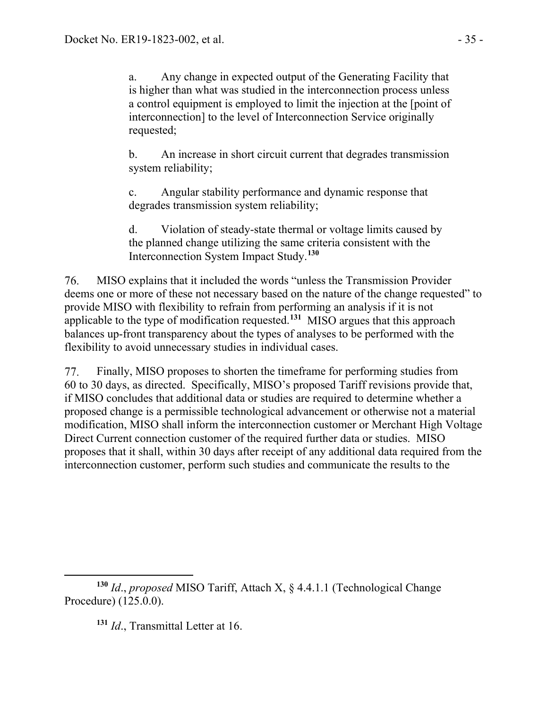a. Any change in expected output of the Generating Facility that is higher than what was studied in the interconnection process unless a control equipment is employed to limit the injection at the [point of interconnection] to the level of Interconnection Service originally requested;

b. An increase in short circuit current that degrades transmission system reliability;

c. Angular stability performance and dynamic response that degrades transmission system reliability;

d. Violation of steady-state thermal or voltage limits caused by the planned change utilizing the same criteria consistent with the Interconnection System Impact Study.**[130](#page-34-0)**

76. MISO explains that it included the words "unless the Transmission Provider deems one or more of these not necessary based on the nature of the change requested" to provide MISO with flexibility to refrain from performing an analysis if it is not applicable to the type of modification requested.**[131](#page-34-1)** MISO argues that this approach balances up-front transparency about the types of analyses to be performed with the flexibility to avoid unnecessary studies in individual cases.

Finally, MISO proposes to shorten the timeframe for performing studies from 77. 60 to 30 days, as directed. Specifically, MISO's proposed Tariff revisions provide that, if MISO concludes that additional data or studies are required to determine whether a proposed change is a permissible technological advancement or otherwise not a material modification, MISO shall inform the interconnection customer or Merchant High Voltage Direct Current connection customer of the required further data or studies. MISO proposes that it shall, within 30 days after receipt of any additional data required from the interconnection customer, perform such studies and communicate the results to the

**<sup>131</sup>** *Id*., Transmittal Letter at 16.

<span id="page-34-1"></span><span id="page-34-0"></span>**<sup>130</sup>** *Id*., *proposed* MISO Tariff, Attach X, § 4.4.1.1 (Technological Change Procedure) (125.0.0).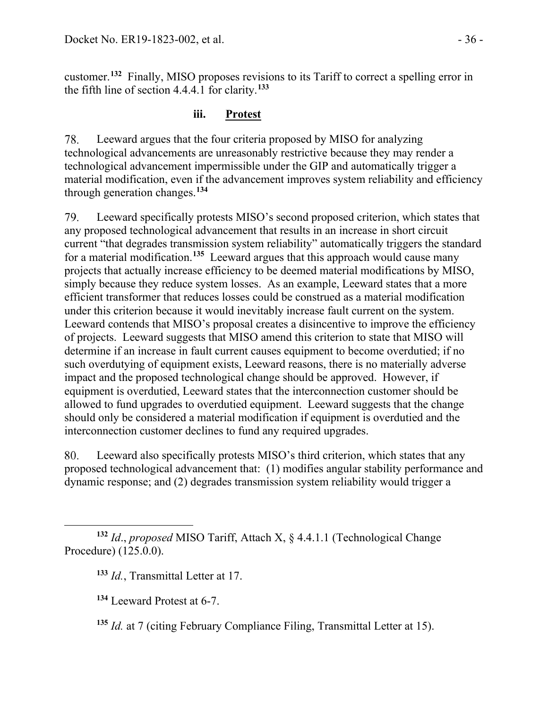customer.**[132](#page-35-0)** Finally, MISO proposes revisions to its Tariff to correct a spelling error in the fifth line of section 4.4.4.1 for clarity.**[133](#page-35-1)**

### **iii. Protest**

78. Leeward argues that the four criteria proposed by MISO for analyzing technological advancements are unreasonably restrictive because they may render a technological advancement impermissible under the GIP and automatically trigger a material modification, even if the advancement improves system reliability and efficiency through generation changes.**[134](#page-35-2)**

79. Leeward specifically protests MISO's second proposed criterion, which states that any proposed technological advancement that results in an increase in short circuit current "that degrades transmission system reliability" automatically triggers the standard for a material modification.**[135](#page-35-3)** Leeward argues that this approach would cause many projects that actually increase efficiency to be deemed material modifications by MISO, simply because they reduce system losses. As an example, Leeward states that a more efficient transformer that reduces losses could be construed as a material modification under this criterion because it would inevitably increase fault current on the system. Leeward contends that MISO's proposal creates a disincentive to improve the efficiency of projects. Leeward suggests that MISO amend this criterion to state that MISO will determine if an increase in fault current causes equipment to become overdutied; if no such overdutying of equipment exists, Leeward reasons, there is no materially adverse impact and the proposed technological change should be approved. However, if equipment is overdutied, Leeward states that the interconnection customer should be allowed to fund upgrades to overdutied equipment. Leeward suggests that the change should only be considered a material modification if equipment is overdutied and the interconnection customer declines to fund any required upgrades.

80. Leeward also specifically protests MISO's third criterion, which states that any proposed technological advancement that: (1) modifies angular stability performance and dynamic response; and (2) degrades transmission system reliability would trigger a

<span id="page-35-2"></span><span id="page-35-1"></span><span id="page-35-0"></span>**<sup>132</sup>** *Id*., *proposed* MISO Tariff, Attach X, § 4.4.1.1 (Technological Change Procedure) (125.0.0).

**<sup>133</sup>** *Id.*, Transmittal Letter at 17.

**<sup>134</sup>** Leeward Protest at 6-7.

<span id="page-35-3"></span>**<sup>135</sup>** *Id.* at 7 (citing February Compliance Filing, Transmittal Letter at 15).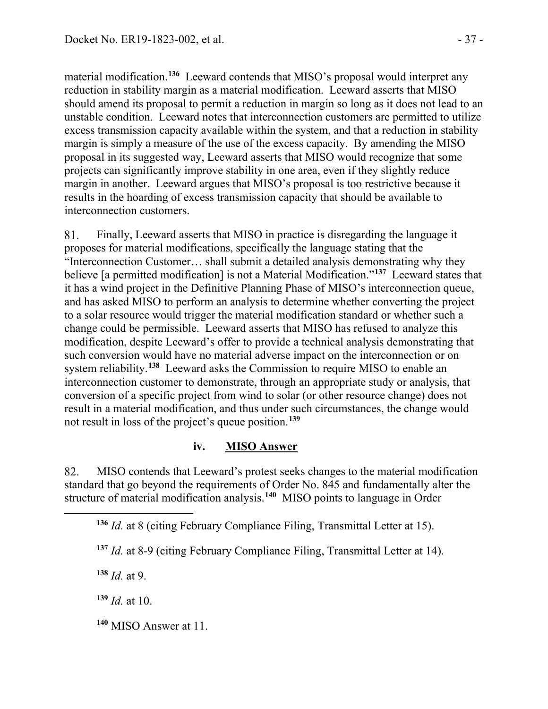material modification.**[136](#page-36-0)** Leeward contends that MISO's proposal would interpret any reduction in stability margin as a material modification. Leeward asserts that MISO should amend its proposal to permit a reduction in margin so long as it does not lead to an unstable condition. Leeward notes that interconnection customers are permitted to utilize excess transmission capacity available within the system, and that a reduction in stability margin is simply a measure of the use of the excess capacity. By amending the MISO proposal in its suggested way, Leeward asserts that MISO would recognize that some projects can significantly improve stability in one area, even if they slightly reduce margin in another. Leeward argues that MISO's proposal is too restrictive because it results in the hoarding of excess transmission capacity that should be available to interconnection customers.

81. Finally, Leeward asserts that MISO in practice is disregarding the language it proposes for material modifications, specifically the language stating that the "Interconnection Customer… shall submit a detailed analysis demonstrating why they believe [a permitted modification] is not a Material Modification."**[137](#page-36-1)** Leeward states that it has a wind project in the Definitive Planning Phase of MISO's interconnection queue, and has asked MISO to perform an analysis to determine whether converting the project to a solar resource would trigger the material modification standard or whether such a change could be permissible. Leeward asserts that MISO has refused to analyze this modification, despite Leeward's offer to provide a technical analysis demonstrating that such conversion would have no material adverse impact on the interconnection or on system reliability.**[138](#page-36-2)** Leeward asks the Commission to require MISO to enable an interconnection customer to demonstrate, through an appropriate study or analysis, that conversion of a specific project from wind to solar (or other resource change) does not result in a material modification, and thus under such circumstances, the change would not result in loss of the project's queue position. **[139](#page-36-3)**

#### **iv. MISO Answer**

<span id="page-36-0"></span>82. MISO contends that Leeward's protest seeks changes to the material modification standard that go beyond the requirements of Order No. 845 and fundamentally alter the structure of material modification analysis.**[140](#page-36-4)** MISO points to language in Order

<span id="page-36-2"></span>**<sup>138</sup>** *Id.* at 9.

<span id="page-36-3"></span>**<sup>139</sup>** *Id.* at 10.

<span id="page-36-4"></span>**<sup>140</sup>** MISO Answer at 11.

**<sup>136</sup>** *Id.* at 8 (citing February Compliance Filing, Transmittal Letter at 15).

<span id="page-36-1"></span>**<sup>137</sup>** *Id.* at 8-9 (citing February Compliance Filing, Transmittal Letter at 14).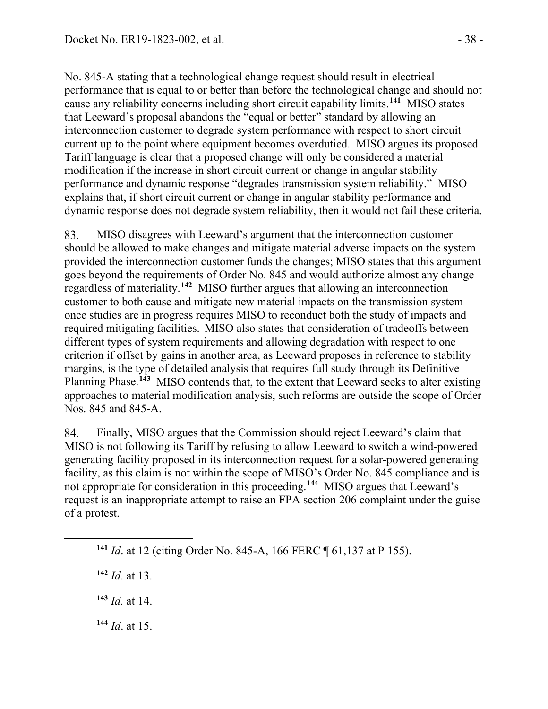No. 845-A stating that a technological change request should result in electrical performance that is equal to or better than before the technological change and should not cause any reliability concerns including short circuit capability limits.**[141](#page-37-0)** MISO states that Leeward's proposal abandons the "equal or better" standard by allowing an interconnection customer to degrade system performance with respect to short circuit current up to the point where equipment becomes overdutied. MISO argues its proposed Tariff language is clear that a proposed change will only be considered a material modification if the increase in short circuit current or change in angular stability performance and dynamic response "degrades transmission system reliability." MISO explains that, if short circuit current or change in angular stability performance and dynamic response does not degrade system reliability, then it would not fail these criteria.

83. MISO disagrees with Leeward's argument that the interconnection customer should be allowed to make changes and mitigate material adverse impacts on the system provided the interconnection customer funds the changes; MISO states that this argument goes beyond the requirements of Order No. 845 and would authorize almost any change regardless of materiality.**[142](#page-37-1)** MISO further argues that allowing an interconnection customer to both cause and mitigate new material impacts on the transmission system once studies are in progress requires MISO to reconduct both the study of impacts and required mitigating facilities. MISO also states that consideration of tradeoffs between different types of system requirements and allowing degradation with respect to one criterion if offset by gains in another area, as Leeward proposes in reference to stability margins, is the type of detailed analysis that requires full study through its Definitive Planning Phase.**[143](#page-37-2)** MISO contends that, to the extent that Leeward seeks to alter existing approaches to material modification analysis, such reforms are outside the scope of Order Nos. 845 and 845-A.

84. Finally, MISO argues that the Commission should reject Leeward's claim that MISO is not following its Tariff by refusing to allow Leeward to switch a wind-powered generating facility proposed in its interconnection request for a solar-powered generating facility, as this claim is not within the scope of MISO's Order No. 845 compliance and is not appropriate for consideration in this proceeding.**[144](#page-37-3)** MISO argues that Leeward's request is an inappropriate attempt to raise an FPA section 206 complaint under the guise of a protest.

<span id="page-37-3"></span>**<sup>144</sup>** *Id*. at 15.

<span id="page-37-0"></span>**<sup>141</sup>** *Id*. at 12 (citing Order No. 845-A, 166 FERC ¶ 61,137 at P 155).

<span id="page-37-1"></span>**<sup>142</sup>** *Id*. at 13.

<span id="page-37-2"></span>**<sup>143</sup>** *Id.* at 14.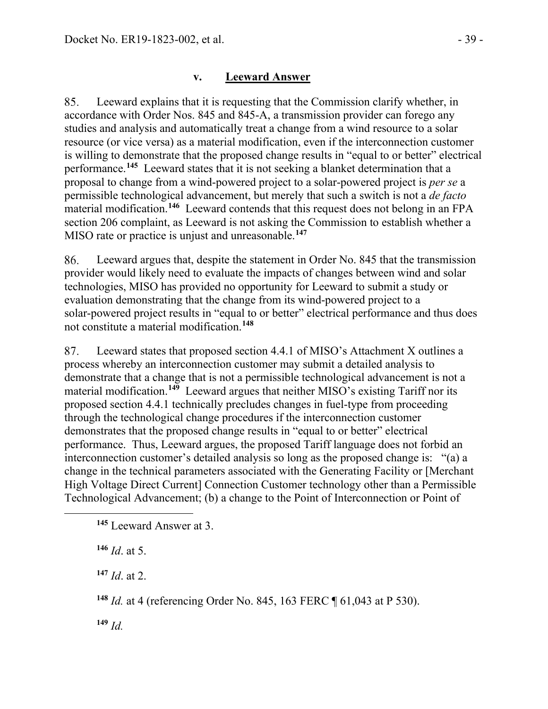## **v. Leeward Answer**

85. Leeward explains that it is requesting that the Commission clarify whether, in accordance with Order Nos. 845 and 845-A, a transmission provider can forego any studies and analysis and automatically treat a change from a wind resource to a solar resource (or vice versa) as a material modification, even if the interconnection customer is willing to demonstrate that the proposed change results in "equal to or better" electrical performance.**[145](#page-38-0)** Leeward states that it is not seeking a blanket determination that a proposal to change from a wind-powered project to a solar-powered project is *per se* a permissible technological advancement, but merely that such a switch is not a *de facto* material modification.**[146](#page-38-1)** Leeward contends that this request does not belong in an FPA section 206 complaint, as Leeward is not asking the Commission to establish whether a MISO rate or practice is unjust and unreasonable.**[147](#page-38-2)**

86. Leeward argues that, despite the statement in Order No. 845 that the transmission provider would likely need to evaluate the impacts of changes between wind and solar technologies, MISO has provided no opportunity for Leeward to submit a study or evaluation demonstrating that the change from its wind-powered project to a solar-powered project results in "equal to or better" electrical performance and thus does not constitute a material modification.**[148](#page-38-3)**

Leeward states that proposed section 4.4.1 of MISO's Attachment X outlines a 87. process whereby an interconnection customer may submit a detailed analysis to demonstrate that a change that is not a permissible technological advancement is not a material modification.**[149](#page-38-4)** Leeward argues that neither MISO's existing Tariff nor its proposed section 4.4.1 technically precludes changes in fuel-type from proceeding through the technological change procedures if the interconnection customer demonstrates that the proposed change results in "equal to or better" electrical performance. Thus, Leeward argues, the proposed Tariff language does not forbid an interconnection customer's detailed analysis so long as the proposed change is: "(a) a change in the technical parameters associated with the Generating Facility or [Merchant High Voltage Direct Current] Connection Customer technology other than a Permissible Technological Advancement; (b) a change to the Point of Interconnection or Point of

<span id="page-38-1"></span>**<sup>146</sup>** *Id*. at 5.

<span id="page-38-2"></span>**<sup>147</sup>** *Id*. at 2.

<span id="page-38-3"></span>**<sup>148</sup>** *Id.* at 4 (referencing Order No. 845, 163 FERC ¶ 61,043 at P 530).

<span id="page-38-4"></span>**<sup>149</sup>** *Id.*

<span id="page-38-0"></span>**<sup>145</sup>** Leeward Answer at 3.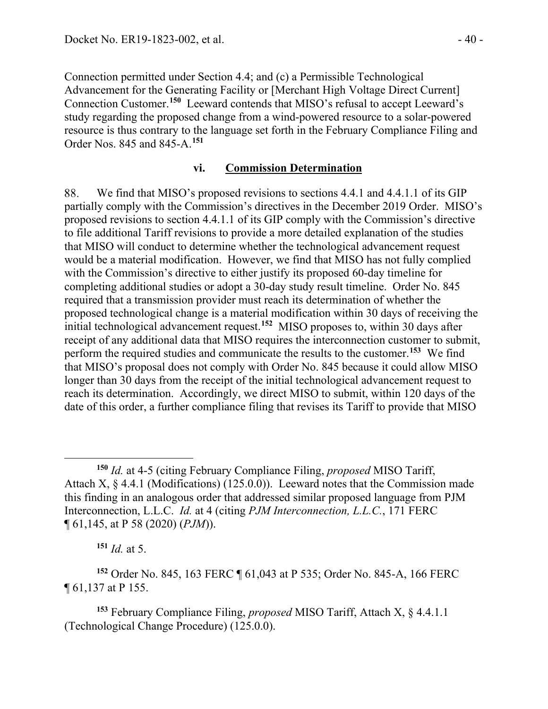Connection permitted under Section 4.4; and (c) a Permissible Technological Advancement for the Generating Facility or [Merchant High Voltage Direct Current] Connection Customer.**[150](#page-39-0)** Leeward contends that MISO's refusal to accept Leeward's study regarding the proposed change from a wind-powered resource to a solar-powered resource is thus contrary to the language set forth in the February Compliance Filing and Order Nos. 845 and 845-A.**[151](#page-39-1)**

#### **vi. Commission Determination**

88. We find that MISO's proposed revisions to sections 4.4.1 and 4.4.1.1 of its GIP partially comply with the Commission's directives in the December 2019 Order. MISO's proposed revisions to section 4.4.1.1 of its GIP comply with the Commission's directive to file additional Tariff revisions to provide a more detailed explanation of the studies that MISO will conduct to determine whether the technological advancement request would be a material modification. However, we find that MISO has not fully complied with the Commission's directive to either justify its proposed 60-day timeline for completing additional studies or adopt a 30-day study result timeline. Order No. 845 required that a transmission provider must reach its determination of whether the proposed technological change is a material modification within 30 days of receiving the initial technological advancement request.**[152](#page-39-2)** MISO proposes to, within 30 days after receipt of any additional data that MISO requires the interconnection customer to submit, perform the required studies and communicate the results to the customer.**[153](#page-39-3)** We find that MISO's proposal does not comply with Order No. 845 because it could allow MISO longer than 30 days from the receipt of the initial technological advancement request to reach its determination. Accordingly, we direct MISO to submit, within 120 days of the date of this order, a further compliance filing that revises its Tariff to provide that MISO

**<sup>151</sup>** *Id.* at 5.

<span id="page-39-2"></span><span id="page-39-1"></span>**<sup>152</sup>** Order No. 845, 163 FERC ¶ 61,043 at P 535; Order No. 845-A, 166 FERC ¶ 61,137 at P 155.

<span id="page-39-3"></span>**<sup>153</sup>** February Compliance Filing, *proposed* MISO Tariff, Attach X, § 4.4.1.1 (Technological Change Procedure) (125.0.0).

<span id="page-39-0"></span>**<sup>150</sup>** *Id.* at 4-5 (citing February Compliance Filing, *proposed* MISO Tariff, Attach X, § 4.4.1 (Modifications) (125.0.0)). Leeward notes that the Commission made this finding in an analogous order that addressed similar proposed language from PJM Interconnection, L.L.C. *Id.* at 4 (citing *PJM Interconnection, L.L.C.*, 171 FERC ¶ 61,145, at P 58 (2020) (*PJM*)).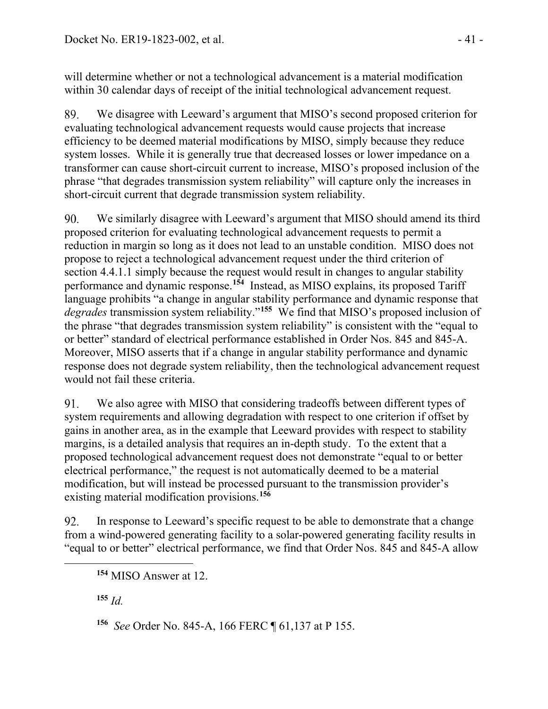will determine whether or not a technological advancement is a material modification within 30 calendar days of receipt of the initial technological advancement request.

89. We disagree with Leeward's argument that MISO's second proposed criterion for evaluating technological advancement requests would cause projects that increase efficiency to be deemed material modifications by MISO, simply because they reduce system losses. While it is generally true that decreased losses or lower impedance on a transformer can cause short-circuit current to increase, MISO's proposed inclusion of the phrase "that degrades transmission system reliability" will capture only the increases in short-circuit current that degrade transmission system reliability.

90. We similarly disagree with Leeward's argument that MISO should amend its third proposed criterion for evaluating technological advancement requests to permit a reduction in margin so long as it does not lead to an unstable condition. MISO does not propose to reject a technological advancement request under the third criterion of section 4.4.1.1 simply because the request would result in changes to angular stability performance and dynamic response.**[154](#page-40-0)** Instead, as MISO explains, its proposed Tariff language prohibits "a change in angular stability performance and dynamic response that *degrades* transmission system reliability."**[155](#page-40-1)** We find that MISO's proposed inclusion of the phrase "that degrades transmission system reliability" is consistent with the "equal to or better" standard of electrical performance established in Order Nos. 845 and 845-A. Moreover, MISO asserts that if a change in angular stability performance and dynamic response does not degrade system reliability, then the technological advancement request would not fail these criteria.

We also agree with MISO that considering tradeoffs between different types of 91. system requirements and allowing degradation with respect to one criterion if offset by gains in another area, as in the example that Leeward provides with respect to stability margins, is a detailed analysis that requires an in-depth study. To the extent that a proposed technological advancement request does not demonstrate "equal to or better electrical performance," the request is not automatically deemed to be a material modification, but will instead be processed pursuant to the transmission provider's existing material modification provisions.**[156](#page-40-2)**

<span id="page-40-0"></span>92. In response to Leeward's specific request to be able to demonstrate that a change from a wind-powered generating facility to a solar-powered generating facility results in "equal to or better" electrical performance, we find that Order Nos. 845 and 845-A allow

<span id="page-40-1"></span>**<sup>155</sup>** *Id.*

<span id="page-40-2"></span>**<sup>156</sup>** *See* Order No. 845-A, 166 FERC ¶ 61,137 at P 155.

**<sup>154</sup>** MISO Answer at 12.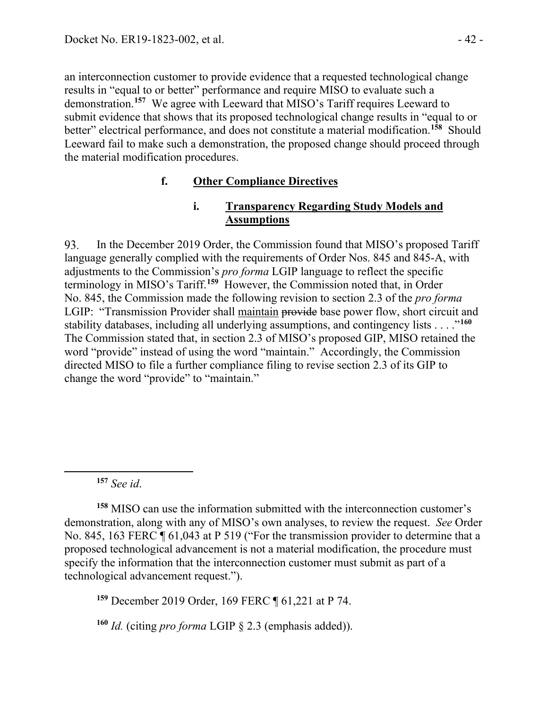an interconnection customer to provide evidence that a requested technological change results in "equal to or better" performance and require MISO to evaluate such a demonstration.**[157](#page-41-0)** We agree with Leeward that MISO's Tariff requires Leeward to submit evidence that shows that its proposed technological change results in "equal to or better" electrical performance, and does not constitute a material modification.**[158](#page-41-1)** Should Leeward fail to make such a demonstration, the proposed change should proceed through the material modification procedures.

### **f. Other Compliance Directives**

#### **i. Transparency Regarding Study Models and Assumptions**

93. In the December 2019 Order, the Commission found that MISO's proposed Tariff language generally complied with the requirements of Order Nos. 845 and 845-A, with adjustments to the Commission's *pro forma* LGIP language to reflect the specific terminology in MISO's Tariff.**[159](#page-41-2)** However, the Commission noted that, in Order No. 845, the Commission made the following revision to section 2.3 of the *pro forma* LGIP: "Transmission Provider shall maintain provide base power flow, short circuit and stability databases, including all underlying assumptions, and contingency lists . . . ."**[160](#page-41-3)** The Commission stated that, in section 2.3 of MISO's proposed GIP, MISO retained the word "provide" instead of using the word "maintain." Accordingly, the Commission directed MISO to file a further compliance filing to revise section 2.3 of its GIP to change the word "provide" to "maintain."

**<sup>157</sup>** *See id*.

<span id="page-41-1"></span><span id="page-41-0"></span>**<sup>158</sup>** MISO can use the information submitted with the interconnection customer's demonstration, along with any of MISO's own analyses, to review the request. *See* Order No. 845, 163 FERC  $\P$  61,043 at P 519 ("For the transmission provider to determine that a proposed technological advancement is not a material modification, the procedure must specify the information that the interconnection customer must submit as part of a technological advancement request.").

<span id="page-41-2"></span>**<sup>159</sup>** December 2019 Order, 169 FERC ¶ 61,221 at P 74.

<span id="page-41-3"></span>**<sup>160</sup>** *Id.* (citing *pro forma* LGIP § 2.3 (emphasis added)).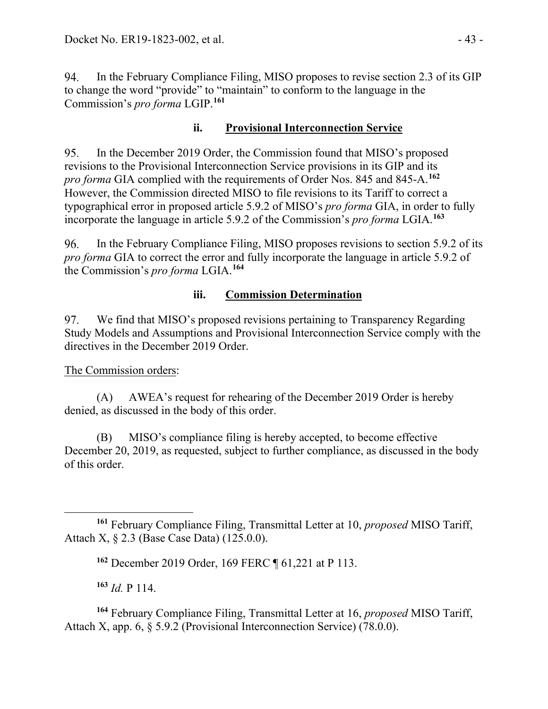In the February Compliance Filing, MISO proposes to revise section 2.3 of its GIP 94. to change the word "provide" to "maintain" to conform to the language in the Commission's *pro forma* LGIP.**[161](#page-42-0)**

### **ii. Provisional Interconnection Service**

95. In the December 2019 Order, the Commission found that MISO's proposed revisions to the Provisional Interconnection Service provisions in its GIP and its *pro forma* GIA complied with the requirements of Order Nos. 845 and 845-A.**[162](#page-42-1)** However, the Commission directed MISO to file revisions to its Tariff to correct a typographical error in proposed article 5.9.2 of MISO's *pro forma* GIA, in order to fully incorporate the language in article 5.9.2 of the Commission's *pro forma* LGIA.**[163](#page-42-2)**

96. In the February Compliance Filing, MISO proposes revisions to section 5.9.2 of its *pro forma* GIA to correct the error and fully incorporate the language in article 5.9.2 of the Commission's *pro forma* LGIA.**[164](#page-42-3)**

### **iii. Commission Determination**

97. We find that MISO's proposed revisions pertaining to Transparency Regarding Study Models and Assumptions and Provisional Interconnection Service comply with the directives in the December 2019 Order.

The Commission orders:

(A) AWEA's request for rehearing of the December 2019 Order is hereby denied, as discussed in the body of this order.

(B) MISO's compliance filing is hereby accepted, to become effective December 20, 2019, as requested, subject to further compliance, as discussed in the body of this order.

**<sup>163</sup>** *Id.* P 114.

<span id="page-42-3"></span><span id="page-42-2"></span>**<sup>164</sup>** February Compliance Filing, Transmittal Letter at 16, *proposed* MISO Tariff, Attach X, app. 6, § 5.9.2 (Provisional Interconnection Service) (78.0.0).

<span id="page-42-1"></span><span id="page-42-0"></span>**<sup>161</sup>** February Compliance Filing, Transmittal Letter at 10, *proposed* MISO Tariff, Attach X, § 2.3 (Base Case Data) (125.0.0).

**<sup>162</sup>** December 2019 Order, 169 FERC ¶ 61,221 at P 113.